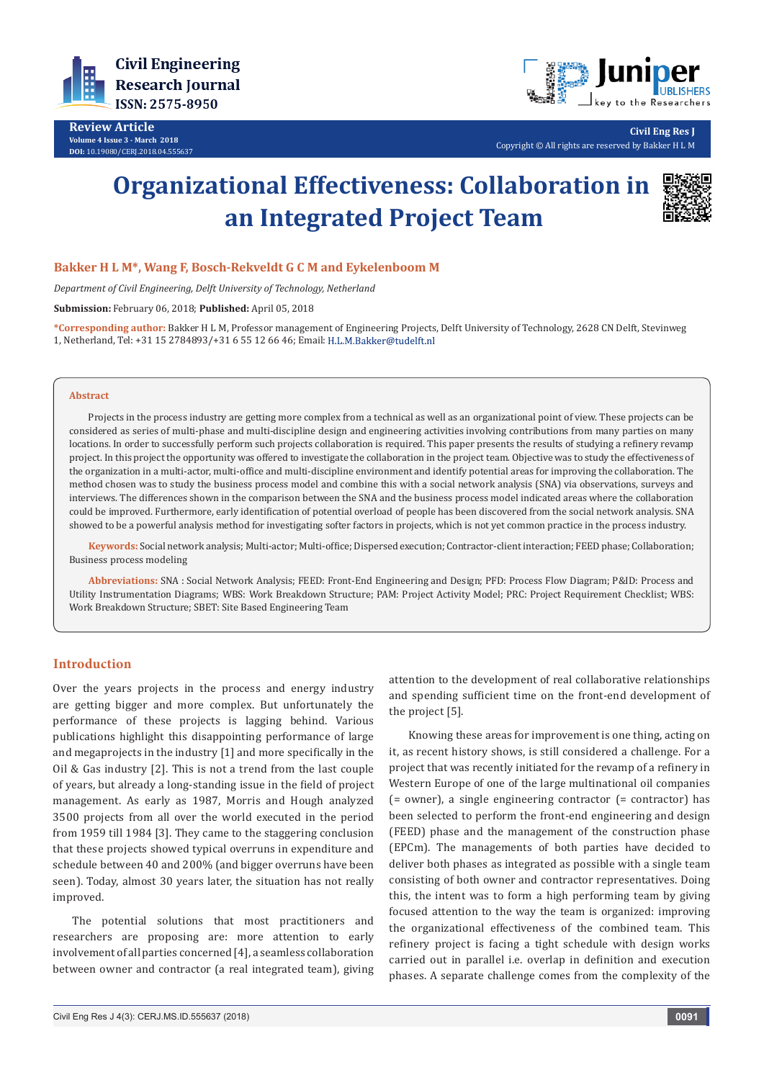

**Review Article Volume 4 Issue 3 - March 2018 DOI:** [10.19080/CERJ.2018.04.55563](http://dx.doi.org/10.19080/CERJ.2018.04.555637)7



**Civil Eng Res J** Copyright © All rights are reserved by Bakker H L M

# **Organizational Effectiveness: Collaboration in an Integrated Project Team**



# **Bakker H L M\*, Wang F, Bosch-Rekveldt G C M and Eykelenboom M**

*Department of Civil Engineering, Delft University of Technology, Netherland*

**Submission:** February 06, 2018; **Published:** April 05, 2018

**\*Corresponding author:** Bakker H L M, Professor management of Engineering Projects, Delft University of Technology, 2628 CN Delft, Stevinweg 1, Netherland, Tel: +31 15 2784893/+31 6 55 12 66 46; Email:

#### **Abstract**

Projects in the process industry are getting more complex from a technical as well as an organizational point of view. These projects can be considered as series of multi-phase and multi-discipline design and engineering activities involving contributions from many parties on many locations. In order to successfully perform such projects collaboration is required. This paper presents the results of studying a refinery revamp project. In this project the opportunity was offered to investigate the collaboration in the project team. Objective was to study the effectiveness of the organization in a multi-actor, multi-office and multi-discipline environment and identify potential areas for improving the collaboration. The method chosen was to study the business process model and combine this with a social network analysis (SNA) via observations, surveys and interviews. The differences shown in the comparison between the SNA and the business process model indicated areas where the collaboration could be improved. Furthermore, early identification of potential overload of people has been discovered from the social network analysis. SNA showed to be a powerful analysis method for investigating softer factors in projects, which is not yet common practice in the process industry.

**Keywords:** Social network analysis; Multi-actor; Multi-office; Dispersed execution; Contractor-client interaction; FEED phase; Collaboration; Business process modeling

**Abbreviations:** SNA : Social Network Analysis; FEED: Front-End Engineering and Design; PFD: Process Flow Diagram; P&ID: Process and Utility Instrumentation Diagrams; WBS: Work Breakdown Structure; PAM: Project Activity Model; PRC: Project Requirement Checklist; WBS: Work Breakdown Structure; SBET: Site Based Engineering Team

# **Introduction**

Over the years projects in the process and energy industry are getting bigger and more complex. But unfortunately the performance of these projects is lagging behind. Various publications highlight this disappointing performance of large and megaprojects in the industry [1] and more specifically in the Oil & Gas industry [2]. This is not a trend from the last couple of years, but already a long-standing issue in the field of project management. As early as 1987, Morris and Hough analyzed 3500 projects from all over the world executed in the period from 1959 till 1984 [3]. They came to the staggering conclusion that these projects showed typical overruns in expenditure and schedule between 40 and 200% (and bigger overruns have been seen). Today, almost 30 years later, the situation has not really improved.

The potential solutions that most practitioners and researchers are proposing are: more attention to early involvement of all parties concerned [4], a seamless collaboration between owner and contractor (a real integrated team), giving attention to the development of real collaborative relationships and spending sufficient time on the front-end development of the project [5].

Knowing these areas for improvement is one thing, acting on it, as recent history shows, is still considered a challenge. For a project that was recently initiated for the revamp of a refinery in Western Europe of one of the large multinational oil companies (= owner), a single engineering contractor (= contractor) has been selected to perform the front-end engineering and design (FEED) phase and the management of the construction phase (EPCm). The managements of both parties have decided to deliver both phases as integrated as possible with a single team consisting of both owner and contractor representatives. Doing this, the intent was to form a high performing team by giving focused attention to the way the team is organized: improving the organizational effectiveness of the combined team. This refinery project is facing a tight schedule with design works carried out in parallel i.e. overlap in definition and execution phases. A separate challenge comes from the complexity of the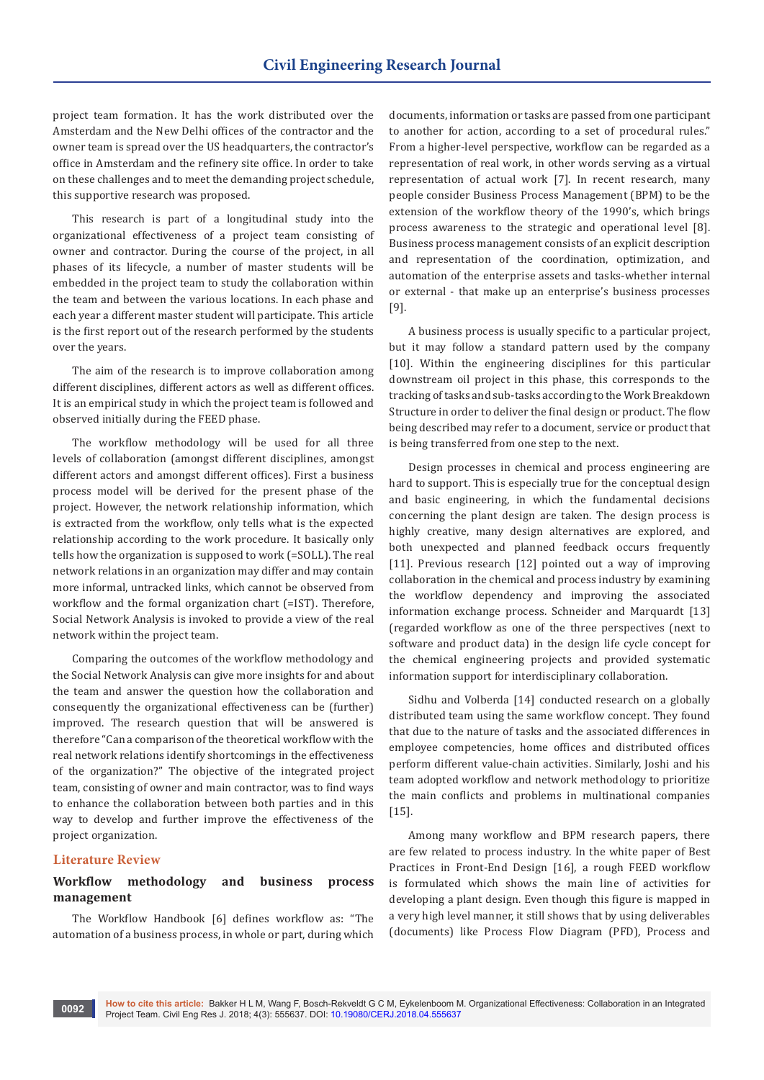project team formation. It has the work distributed over the Amsterdam and the New Delhi offices of the contractor and the owner team is spread over the US headquarters, the contractor's office in Amsterdam and the refinery site office. In order to take on these challenges and to meet the demanding project schedule, this supportive research was proposed.

This research is part of a longitudinal study into the organizational effectiveness of a project team consisting of owner and contractor. During the course of the project, in all phases of its lifecycle, a number of master students will be embedded in the project team to study the collaboration within the team and between the various locations. In each phase and each year a different master student will participate. This article is the first report out of the research performed by the students over the years.

The aim of the research is to improve collaboration among different disciplines, different actors as well as different offices. It is an empirical study in which the project team is followed and observed initially during the FEED phase.

The workflow methodology will be used for all three levels of collaboration (amongst different disciplines, amongst different actors and amongst different offices). First a business process model will be derived for the present phase of the project. However, the network relationship information, which is extracted from the workflow, only tells what is the expected relationship according to the work procedure. It basically only tells how the organization is supposed to work (=SOLL). The real network relations in an organization may differ and may contain more informal, untracked links, which cannot be observed from workflow and the formal organization chart (=IST). Therefore, Social Network Analysis is invoked to provide a view of the real network within the project team.

Comparing the outcomes of the workflow methodology and the Social Network Analysis can give more insights for and about the team and answer the question how the collaboration and consequently the organizational effectiveness can be (further) improved. The research question that will be answered is therefore "Can a comparison of the theoretical workflow with the real network relations identify shortcomings in the effectiveness of the organization?" The objective of the integrated project team, consisting of owner and main contractor, was to find ways to enhance the collaboration between both parties and in this way to develop and further improve the effectiveness of the project organization.

#### **Literature Review**

# **Workflow methodology and business process management**

The Workflow Handbook [6] defines workflow as: "The automation of a business process, in whole or part, during which

documents, information or tasks are passed from one participant to another for action, according to a set of procedural rules." From a higher-level perspective, workflow can be regarded as a representation of real work, in other words serving as a virtual representation of actual work [7]. In recent research, many people consider Business Process Management (BPM) to be the extension of the workflow theory of the 1990's, which brings process awareness to the strategic and operational level [8]. Business process management consists of an explicit description and representation of the coordination, optimization, and automation of the enterprise assets and tasks-whether internal or external - that make up an enterprise's business processes [9].

A business process is usually specific to a particular project, but it may follow a standard pattern used by the company [10]. Within the engineering disciplines for this particular downstream oil project in this phase, this corresponds to the tracking of tasks and sub-tasks according to the Work Breakdown Structure in order to deliver the final design or product. The flow being described may refer to a document, service or product that is being transferred from one step to the next.

Design processes in chemical and process engineering are hard to support. This is especially true for the conceptual design and basic engineering, in which the fundamental decisions concerning the plant design are taken. The design process is highly creative, many design alternatives are explored, and both unexpected and planned feedback occurs frequently [11]. Previous research [12] pointed out a way of improving collaboration in the chemical and process industry by examining the workflow dependency and improving the associated information exchange process. Schneider and Marquardt [13] (regarded workflow as one of the three perspectives (next to software and product data) in the design life cycle concept for the chemical engineering projects and provided systematic information support for interdisciplinary collaboration.

Sidhu and Volberda [14] conducted research on a globally distributed team using the same workflow concept. They found that due to the nature of tasks and the associated differences in employee competencies, home offices and distributed offices perform different value-chain activities. Similarly, Joshi and his team adopted workflow and network methodology to prioritize the main conflicts and problems in multinational companies [15].

Among many workflow and BPM research papers, there are few related to process industry. In the white paper of Best Practices in Front-End Design [16], a rough FEED workflow is formulated which shows the main line of activities for developing a plant design. Even though this figure is mapped in a very high level manner, it still shows that by using deliverables (documents) like Process Flow Diagram (PFD), Process and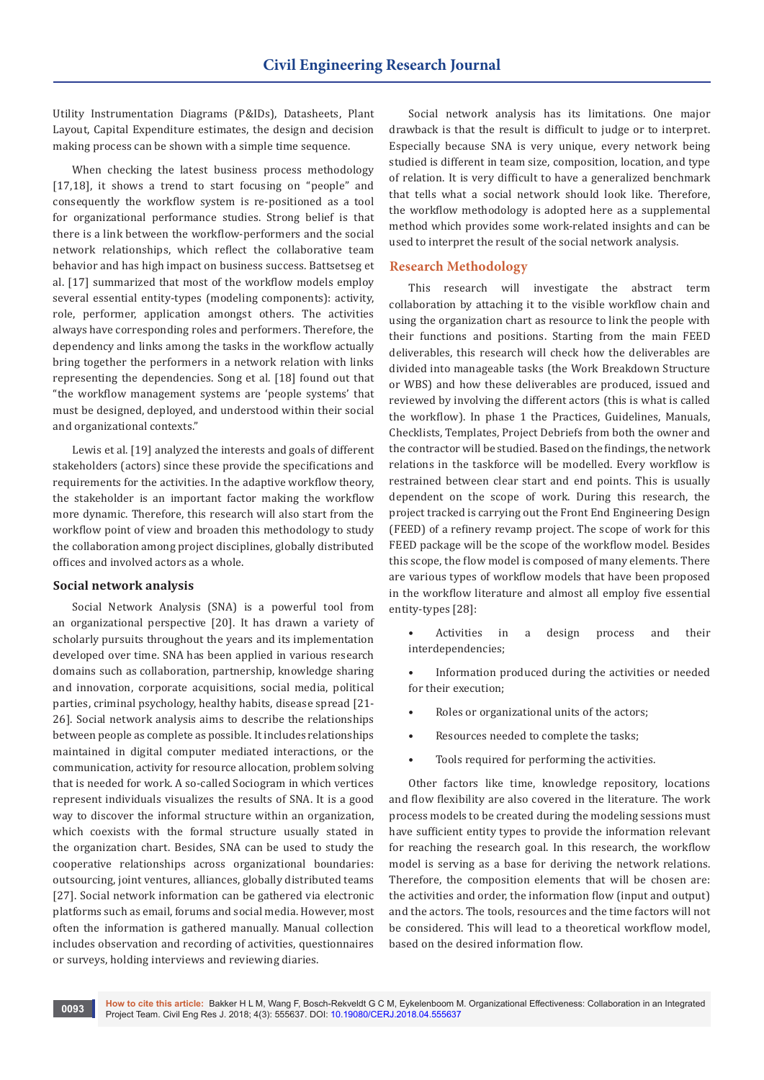Utility Instrumentation Diagrams (P&IDs), Datasheets, Plant Layout, Capital Expenditure estimates, the design and decision making process can be shown with a simple time sequence.

When checking the latest business process methodology [17,18], it shows a trend to start focusing on "people" and consequently the workflow system is re-positioned as a tool for organizational performance studies. Strong belief is that there is a link between the workflow-performers and the social network relationships, which reflect the collaborative team behavior and has high impact on business success. Battsetseg et al. [17] summarized that most of the workflow models employ several essential entity-types (modeling components): activity, role, performer, application amongst others. The activities always have corresponding roles and performers. Therefore, the dependency and links among the tasks in the workflow actually bring together the performers in a network relation with links representing the dependencies. Song et al. [18] found out that "the workflow management systems are 'people systems' that must be designed, deployed, and understood within their social and organizational contexts."

Lewis et al. [19] analyzed the interests and goals of different stakeholders (actors) since these provide the specifications and requirements for the activities. In the adaptive workflow theory, the stakeholder is an important factor making the workflow more dynamic. Therefore, this research will also start from the workflow point of view and broaden this methodology to study the collaboration among project disciplines, globally distributed offices and involved actors as a whole.

#### **Social network analysis**

Social Network Analysis (SNA) is a powerful tool from an organizational perspective [20]. It has drawn a variety of scholarly pursuits throughout the years and its implementation developed over time. SNA has been applied in various research domains such as collaboration, partnership, knowledge sharing and innovation, corporate acquisitions, social media, political parties, criminal psychology, healthy habits, disease spread [21- 26]. Social network analysis aims to describe the relationships between people as complete as possible. It includes relationships maintained in digital computer mediated interactions, or the communication, activity for resource allocation, problem solving that is needed for work. A so-called Sociogram in which vertices represent individuals visualizes the results of SNA. It is a good way to discover the informal structure within an organization, which coexists with the formal structure usually stated in the organization chart. Besides, SNA can be used to study the cooperative relationships across organizational boundaries: outsourcing, joint ventures, alliances, globally distributed teams [27]. Social network information can be gathered via electronic platforms such as email, forums and social media. However, most often the information is gathered manually. Manual collection includes observation and recording of activities, questionnaires or surveys, holding interviews and reviewing diaries.

Social network analysis has its limitations. One major drawback is that the result is difficult to judge or to interpret. Especially because SNA is very unique, every network being studied is different in team size, composition, location, and type of relation. It is very difficult to have a generalized benchmark that tells what a social network should look like. Therefore, the workflow methodology is adopted here as a supplemental method which provides some work-related insights and can be used to interpret the result of the social network analysis.

## **Research Methodology**

This research will investigate the abstract term collaboration by attaching it to the visible workflow chain and using the organization chart as resource to link the people with their functions and positions. Starting from the main FEED deliverables, this research will check how the deliverables are divided into manageable tasks (the Work Breakdown Structure or WBS) and how these deliverables are produced, issued and reviewed by involving the different actors (this is what is called the workflow). In phase 1 the Practices, Guidelines, Manuals, Checklists, Templates, Project Debriefs from both the owner and the contractor will be studied. Based on the findings, the network relations in the taskforce will be modelled. Every workflow is restrained between clear start and end points. This is usually dependent on the scope of work. During this research, the project tracked is carrying out the Front End Engineering Design (FEED) of a refinery revamp project. The scope of work for this FEED package will be the scope of the workflow model. Besides this scope, the flow model is composed of many elements. There are various types of workflow models that have been proposed in the workflow literature and almost all employ five essential entity-types [28]:

- Activities in a design process and their interdependencies;
- Information produced during the activities or needed for their execution;
- Roles or organizational units of the actors;
- Resources needed to complete the tasks;
- Tools required for performing the activities.

Other factors like time, knowledge repository, locations and flow flexibility are also covered in the literature. The work process models to be created during the modeling sessions must have sufficient entity types to provide the information relevant for reaching the research goal. In this research, the workflow model is serving as a base for deriving the network relations. Therefore, the composition elements that will be chosen are: the activities and order, the information flow (input and output) and the actors. The tools, resources and the time factors will not be considered. This will lead to a theoretical workflow model, based on the desired information flow.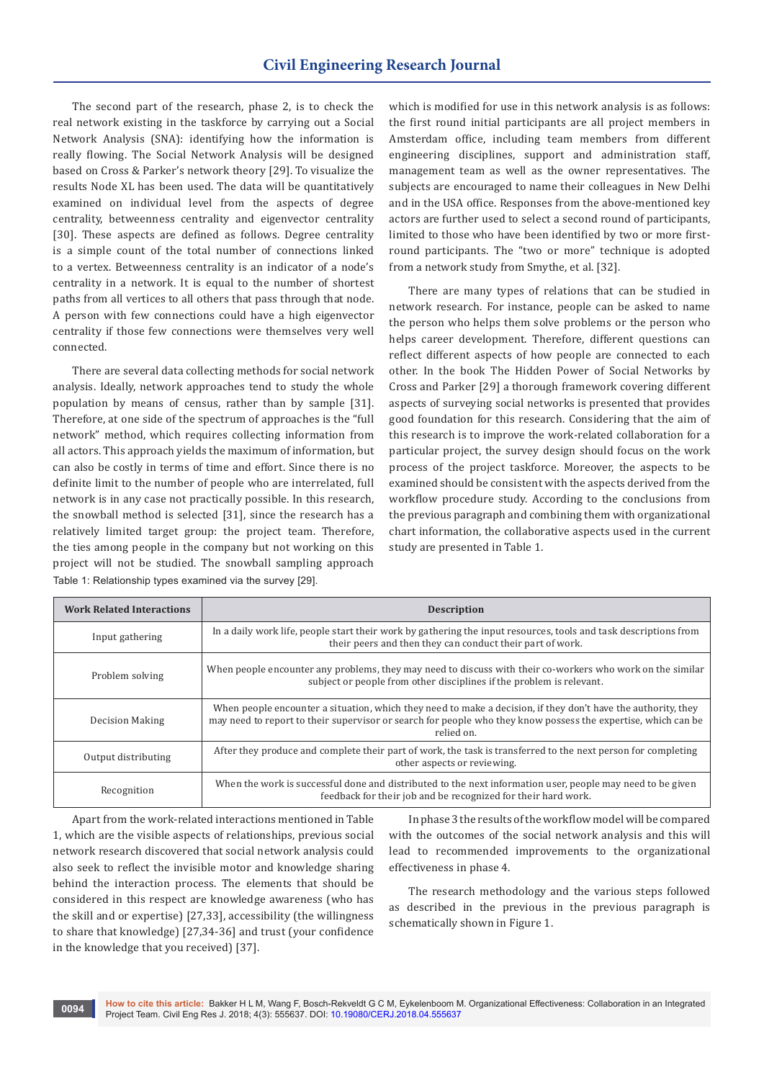The second part of the research, phase 2, is to check the real network existing in the taskforce by carrying out a Social Network Analysis (SNA): identifying how the information is really flowing. The Social Network Analysis will be designed based on Cross & Parker's network theory [29]. To visualize the results Node XL has been used. The data will be quantitatively examined on individual level from the aspects of degree centrality, betweenness centrality and eigenvector centrality [30]. These aspects are defined as follows. Degree centrality is a simple count of the total number of connections linked to a vertex. Betweenness centrality is an indicator of a node's centrality in a network. It is equal to the number of shortest paths from all vertices to all others that pass through that node. A person with few connections could have a high eigenvector centrality if those few connections were themselves very well connected.

There are several data collecting methods for social network analysis. Ideally, network approaches tend to study the whole population by means of census, rather than by sample [31]. Therefore, at one side of the spectrum of approaches is the "full network" method, which requires collecting information from all actors. This approach yields the maximum of information, but can also be costly in terms of time and effort. Since there is no definite limit to the number of people who are interrelated, full network is in any case not practically possible. In this research, the snowball method is selected [31], since the research has a relatively limited target group: the project team. Therefore, the ties among people in the company but not working on this project will not be studied. The snowball sampling approach Table 1: Relationship types examined via the survey [29].

which is modified for use in this network analysis is as follows: the first round initial participants are all project members in Amsterdam office, including team members from different engineering disciplines, support and administration staff, management team as well as the owner representatives. The subjects are encouraged to name their colleagues in New Delhi and in the USA office. Responses from the above-mentioned key actors are further used to select a second round of participants, limited to those who have been identified by two or more firstround participants. The "two or more" technique is adopted from a network study from Smythe, et al. [32].

There are many types of relations that can be studied in network research. For instance, people can be asked to name the person who helps them solve problems or the person who helps career development. Therefore, different questions can reflect different aspects of how people are connected to each other. In the book The Hidden Power of Social Networks by Cross and Parker [29] a thorough framework covering different aspects of surveying social networks is presented that provides good foundation for this research. Considering that the aim of this research is to improve the work-related collaboration for a particular project, the survey design should focus on the work process of the project taskforce. Moreover, the aspects to be examined should be consistent with the aspects derived from the workflow procedure study. According to the conclusions from the previous paragraph and combining them with organizational chart information, the collaborative aspects used in the current study are presented in Table 1.

| <b>Work Related Interactions</b> | <b>Description</b>                                                                                                                                                                                                                           |
|----------------------------------|----------------------------------------------------------------------------------------------------------------------------------------------------------------------------------------------------------------------------------------------|
| Input gathering                  | In a daily work life, people start their work by gathering the input resources, tools and task descriptions from<br>their peers and then they can conduct their part of work.                                                                |
| Problem solving                  | When people encounter any problems, they may need to discuss with their co-workers who work on the similar<br>subject or people from other disciplines if the problem is relevant.                                                           |
| <b>Decision Making</b>           | When people encounter a situation, which they need to make a decision, if they don't have the authority, they<br>may need to report to their supervisor or search for people who they know possess the expertise, which can be<br>relied on. |
| Output distributing              | After they produce and complete their part of work, the task is transferred to the next person for completing<br>other aspects or reviewing.                                                                                                 |
| Recognition                      | When the work is successful done and distributed to the next information user, people may need to be given<br>feedback for their job and be recognized for their hard work.                                                                  |

Apart from the work-related interactions mentioned in Table 1, which are the visible aspects of relationships, previous social network research discovered that social network analysis could also seek to reflect the invisible motor and knowledge sharing behind the interaction process. The elements that should be considered in this respect are knowledge awareness (who has the skill and or expertise) [27,33], accessibility (the willingness to share that knowledge) [27,34-36] and trust (your confidence in the knowledge that you received) [37].

In phase 3 the results of the workflow model will be compared with the outcomes of the social network analysis and this will lead to recommended improvements to the organizational effectiveness in phase 4.

The research methodology and the various steps followed as described in the previous in the previous paragraph is schematically shown in Figure 1.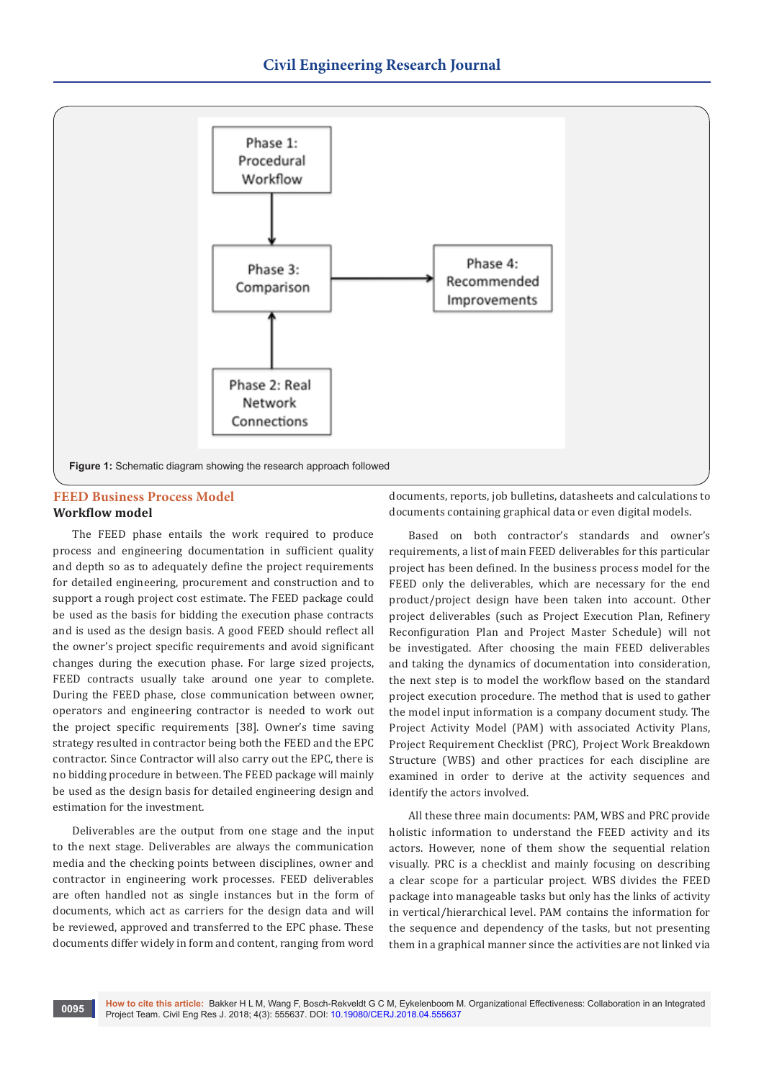

## **FEED Business Process Model Workflow model**

The FEED phase entails the work required to produce process and engineering documentation in sufficient quality and depth so as to adequately define the project requirements for detailed engineering, procurement and construction and to support a rough project cost estimate. The FEED package could be used as the basis for bidding the execution phase contracts and is used as the design basis. A good FEED should reflect all the owner's project specific requirements and avoid significant changes during the execution phase. For large sized projects, FEED contracts usually take around one year to complete. During the FEED phase, close communication between owner, operators and engineering contractor is needed to work out the project specific requirements [38]. Owner's time saving strategy resulted in contractor being both the FEED and the EPC contractor. Since Contractor will also carry out the EPC, there is no bidding procedure in between. The FEED package will mainly be used as the design basis for detailed engineering design and estimation for the investment.

Deliverables are the output from one stage and the input to the next stage. Deliverables are always the communication media and the checking points between disciplines, owner and contractor in engineering work processes. FEED deliverables are often handled not as single instances but in the form of documents, which act as carriers for the design data and will be reviewed, approved and transferred to the EPC phase. These documents differ widely in form and content, ranging from word

documents, reports, job bulletins, datasheets and calculations to documents containing graphical data or even digital models.

Based on both contractor's standards and owner's requirements, a list of main FEED deliverables for this particular project has been defined. In the business process model for the FEED only the deliverables, which are necessary for the end product/project design have been taken into account. Other project deliverables (such as Project Execution Plan, Refinery Reconfiguration Plan and Project Master Schedule) will not be investigated. After choosing the main FEED deliverables and taking the dynamics of documentation into consideration, the next step is to model the workflow based on the standard project execution procedure. The method that is used to gather the model input information is a company document study. The Project Activity Model (PAM) with associated Activity Plans, Project Requirement Checklist (PRC), Project Work Breakdown Structure (WBS) and other practices for each discipline are examined in order to derive at the activity sequences and identify the actors involved.

All these three main documents: PAM, WBS and PRC provide holistic information to understand the FEED activity and its actors. However, none of them show the sequential relation visually. PRC is a checklist and mainly focusing on describing a clear scope for a particular project. WBS divides the FEED package into manageable tasks but only has the links of activity in vertical/hierarchical level. PAM contains the information for the sequence and dependency of the tasks, but not presenting them in a graphical manner since the activities are not linked via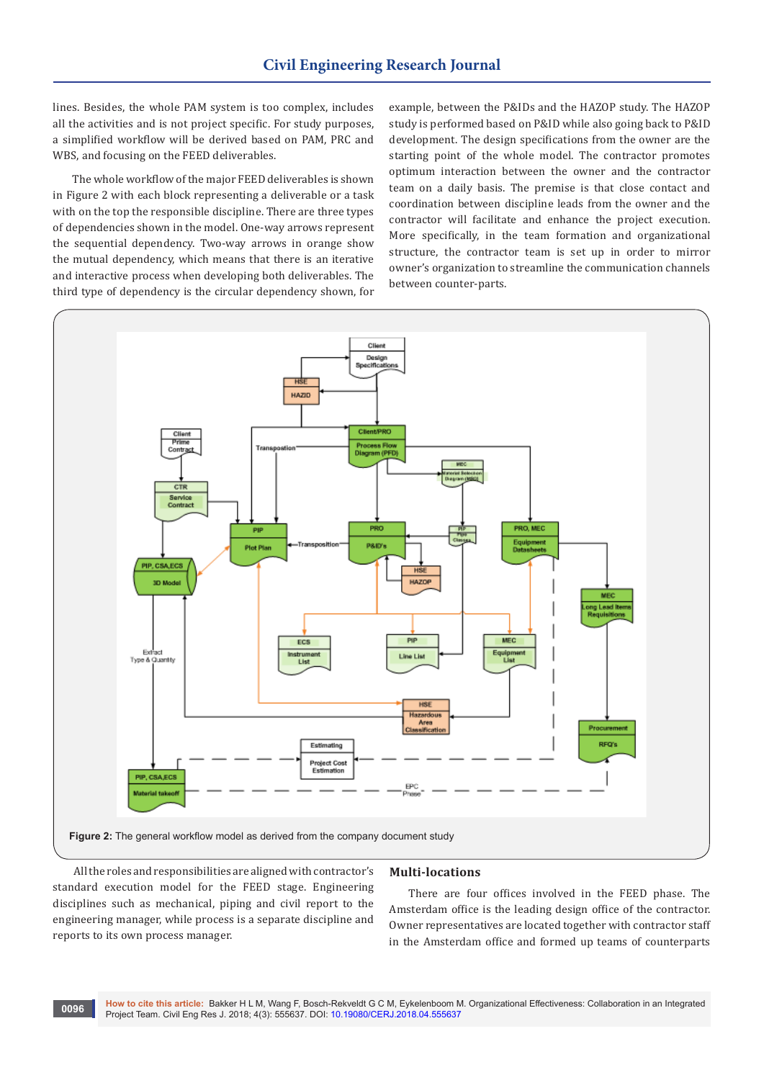lines. Besides, the whole PAM system is too complex, includes all the activities and is not project specific. For study purposes, a simplified workflow will be derived based on PAM, PRC and WBS, and focusing on the FEED deliverables.

The whole workflow of the major FEED deliverables is shown in Figure 2 with each block representing a deliverable or a task with on the top the responsible discipline. There are three types of dependencies shown in the model. One-way arrows represent the sequential dependency. Two-way arrows in orange show the mutual dependency, which means that there is an iterative and interactive process when developing both deliverables. The third type of dependency is the circular dependency shown, for

example, between the P&IDs and the HAZOP study. The HAZOP study is performed based on P&ID while also going back to P&ID development. The design specifications from the owner are the starting point of the whole model. The contractor promotes optimum interaction between the owner and the contractor team on a daily basis. The premise is that close contact and coordination between discipline leads from the owner and the contractor will facilitate and enhance the project execution. More specifically, in the team formation and organizational structure, the contractor team is set up in order to mirror owner's organization to streamline the communication channels between counter-parts.



 All the roles and responsibilities are aligned with contractor's standard execution model for the FEED stage. Engineering disciplines such as mechanical, piping and civil report to the engineering manager, while process is a separate discipline and reports to its own process manager.

#### **Multi-locations**

There are four offices involved in the FEED phase. The Amsterdam office is the leading design office of the contractor. Owner representatives are located together with contractor staff in the Amsterdam office and formed up teams of counterparts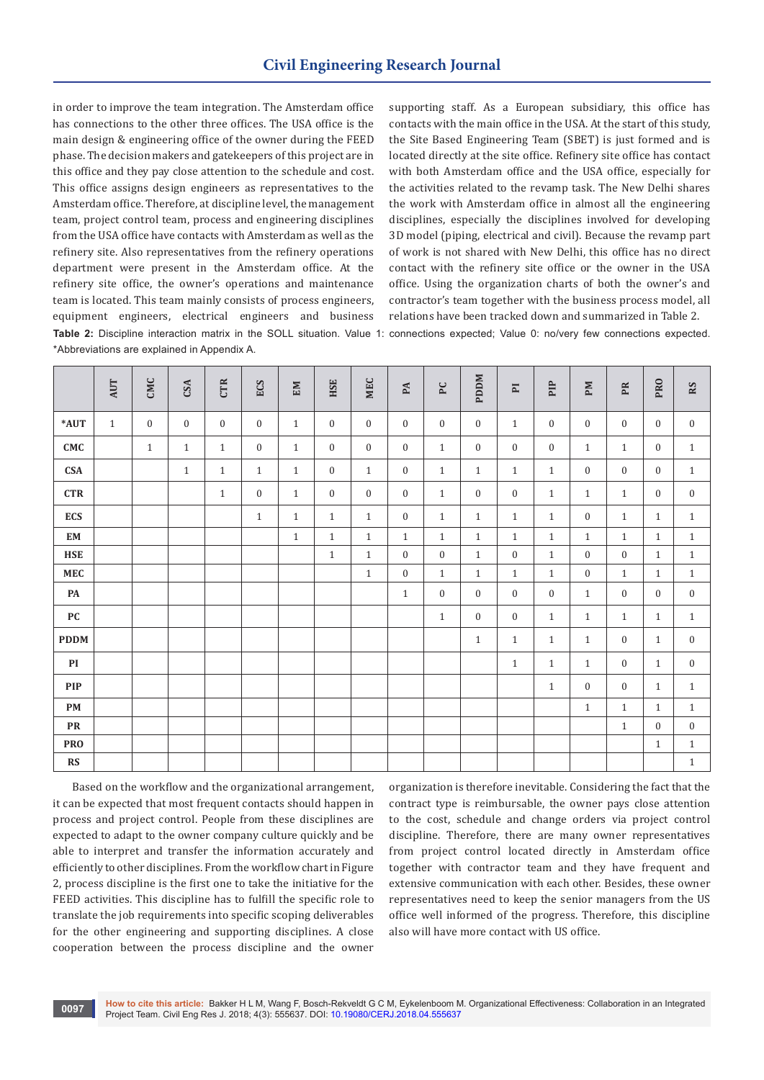in order to improve the team integration. The Amsterdam office has connections to the other three offices. The USA office is the main design & engineering office of the owner during the FEED phase. The decision makers and gatekeepers of this project are in this office and they pay close attention to the schedule and cost. This office assigns design engineers as representatives to the Amsterdam office. Therefore, at discipline level, the management team, project control team, process and engineering disciplines from the USA office have contacts with Amsterdam as well as the refinery site. Also representatives from the refinery operations department were present in the Amsterdam office. At the refinery site office, the owner's operations and maintenance team is located. This team mainly consists of process engineers, equipment engineers, electrical engineers and business **Table 2:** Discipline interaction matrix in the SOLL situation. Value 1: connections expected; Value 0: no/very few connections expected. \*Abbreviations are explained in Appendix A.

supporting staff. As a European subsidiary, this office has contacts with the main office in the USA. At the start of this study, the Site Based Engineering Team (SBET) is just formed and is located directly at the site office. Refinery site office has contact with both Amsterdam office and the USA office, especially for the activities related to the revamp task. The New Delhi shares the work with Amsterdam office in almost all the engineering disciplines, especially the disciplines involved for developing 3D model (piping, electrical and civil). Because the revamp part of work is not shared with New Delhi, this office has no direct contact with the refinery site office or the owner in the USA office. Using the organization charts of both the owner's and contractor's team together with the business process model, all relations have been tracked down and summarized in Table 2.

|                  | AUT          | CMC            | CSA            | <b>CTR</b>   | ECS          | EM           | HSE            | <b>MEC</b>   | $\mathbf{PA}$    | ${\tt P}{\tt C}$ | <b>PDDM</b>      | $\overline{\mathbf{P}}$ | PIP          | ${\bf P}{\bf M}$ | PR               | PRO            | RS               |
|------------------|--------------|----------------|----------------|--------------|--------------|--------------|----------------|--------------|------------------|------------------|------------------|-------------------------|--------------|------------------|------------------|----------------|------------------|
| *AUT             | $\mathbf{1}$ | $\overline{0}$ | $\overline{0}$ | $\mathbf{0}$ | $\mathbf{0}$ | $\mathbf{1}$ | $\overline{0}$ | $\mathbf{0}$ | $\boldsymbol{0}$ | $\mathbf{0}$     | $\boldsymbol{0}$ | $\mathbf{1}$            | $\mathbf{0}$ | $\mathbf{0}$     | $\mathbf{0}$     | $\overline{0}$ | $\boldsymbol{0}$ |
| CMC              |              | $\mathbf{1}$   | $\mathbf{1}$   | $\mathbf{1}$ | $\mathbf{0}$ | $\mathbf{1}$ | $\mathbf{0}$   | $\mathbf{0}$ | $\boldsymbol{0}$ | $1\,$            | $\boldsymbol{0}$ | $\mathbf{0}$            | $\mathbf{0}$ | $\mathbf{1}$     | $\mathbf{1}$     | $\overline{0}$ | $\mathbf{1}$     |
| <b>CSA</b>       |              |                | $\mathbf{1}$   | $\mathbf{1}$ | $\mathbf{1}$ | $\mathbf{1}$ | $\mathbf{0}$   | $\mathbf{1}$ | $\boldsymbol{0}$ | $\mathbf{1}$     | $\mathbf{1}$     | $\mathbf{1}$            | $\mathbf{1}$ | $\mathbf{0}$     | $\mathbf{0}$     | $\overline{0}$ | $\mathbf{1}$     |
| <b>CTR</b>       |              |                |                | $\mathbf{1}$ | $\mathbf{0}$ | $\mathbf{1}$ | $\overline{0}$ | $\mathbf{0}$ | $\boldsymbol{0}$ | $\mathbf{1}$     | $\boldsymbol{0}$ | $\mathbf{0}$            | $\mathbf{1}$ | $\mathbf{1}$     | $\mathbf{1}$     | $\theta$       | $\boldsymbol{0}$ |
| <b>ECS</b>       |              |                |                |              | $1\,$        | $\mathbf{1}$ | $\mathbf{1}$   | $\mathbf{1}$ | $\boldsymbol{0}$ | $\mathbf{1}$     | $\mathbf{1}$     | $\mathbf{1}$            | $\mathbf{1}$ | $\mathbf{0}$     | $\mathbf{1}$     | $\mathbf{1}$   | $\mathbf{1}$     |
| ${\bf EM}$       |              |                |                |              |              | $\mathbf{1}$ | $\mathbf{1}$   | $\mathbf{1}$ | $\mathbf{1}$     | $\mathbf{1}$     | $\mathbf{1}$     | $\mathbf{1}$            | $\mathbf{1}$ | $\mathbf{1}$     | $\mathbf{1}$     | $\mathbf{1}$   | $\mathbf{1}$     |
| <b>HSE</b>       |              |                |                |              |              |              | $\mathbf{1}$   | $\,1\,$      | $\boldsymbol{0}$ | $\boldsymbol{0}$ | $\,1\,$          | $\mathbf{0}$            | $\mathbf{1}$ | $\boldsymbol{0}$ | $\boldsymbol{0}$ | $\mathbf{1}$   | $\mathbf{1}$     |
| MEC              |              |                |                |              |              |              |                | $\,1\,$      | $\boldsymbol{0}$ | $1\,$            | $\,1\,$          | $\mathbf{1}$            | $\mathbf{1}$ | $\mathbf{0}$     | $\mathbf{1}$     | $\mathbf{1}$   | $\,1\,$          |
| PA               |              |                |                |              |              |              |                |              | $\mathbf{1}$     | $\boldsymbol{0}$ | $\mathbf{0}$     | $\mathbf{0}$            | $\mathbf{0}$ | $\mathbf{1}$     | $\mathbf{0}$     | $\overline{0}$ | $\mathbf{0}$     |
| ${\bf P}{\bf C}$ |              |                |                |              |              |              |                |              |                  | $1\,$            | $\boldsymbol{0}$ | $\mathbf{0}$            | $\mathbf{1}$ | $\mathbf{1}$     | $\mathbf{1}$     | $\mathbf{1}$   | $\mathbf{1}$     |
| <b>PDDM</b>      |              |                |                |              |              |              |                |              |                  |                  | $\mathbf{1}$     | $\mathbf{1}$            | $\mathbf{1}$ | $\mathbf{1}$     | $\mathbf{0}$     | $\mathbf{1}$   | $\mathbf{0}$     |
| PI               |              |                |                |              |              |              |                |              |                  |                  |                  | $\mathbf{1}$            | $\mathbf{1}$ | $\mathbf{1}$     | $\mathbf{0}$     | $\mathbf{1}$   | $\boldsymbol{0}$ |
| <b>PIP</b>       |              |                |                |              |              |              |                |              |                  |                  |                  |                         | $\mathbf{1}$ | $\boldsymbol{0}$ | $\mathbf{0}$     | $\mathbf{1}$   | $\mathbf{1}$     |
| PM               |              |                |                |              |              |              |                |              |                  |                  |                  |                         |              | $\mathbf{1}$     | $\mathbf{1}$     | $\mathbf{1}$   | $\mathbf{1}$     |
| PR               |              |                |                |              |              |              |                |              |                  |                  |                  |                         |              |                  | $\mathbf{1}$     | $\overline{0}$ | $\boldsymbol{0}$ |
| <b>PRO</b>       |              |                |                |              |              |              |                |              |                  |                  |                  |                         |              |                  |                  | $\mathbf{1}$   | $\mathbf{1}$     |
| RS               |              |                |                |              |              |              |                |              |                  |                  |                  |                         |              |                  |                  |                | $\,1\,$          |

Based on the workflow and the organizational arrangement, it can be expected that most frequent contacts should happen in process and project control. People from these disciplines are expected to adapt to the owner company culture quickly and be able to interpret and transfer the information accurately and efficiently to other disciplines. From the workflow chart in Figure 2, process discipline is the first one to take the initiative for the FEED activities. This discipline has to fulfill the specific role to translate the job requirements into specific scoping deliverables for the other engineering and supporting disciplines. A close cooperation between the process discipline and the owner

organization is therefore inevitable. Considering the fact that the contract type is reimbursable, the owner pays close attention to the cost, schedule and change orders via project control discipline. Therefore, there are many owner representatives from project control located directly in Amsterdam office together with contractor team and they have frequent and extensive communication with each other. Besides, these owner representatives need to keep the senior managers from the US office well informed of the progress. Therefore, this discipline also will have more contact with US office.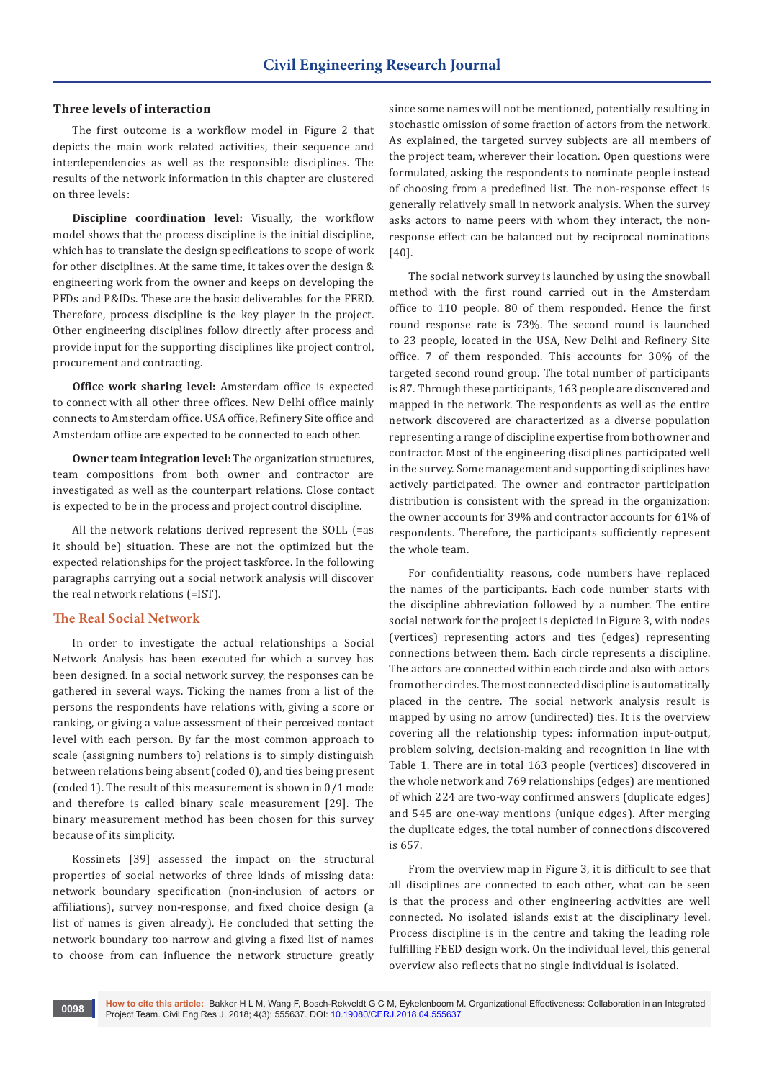## **Three levels of interaction**

The first outcome is a workflow model in Figure 2 that depicts the main work related activities, their sequence and interdependencies as well as the responsible disciplines. The results of the network information in this chapter are clustered on three levels:

**Discipline coordination level:** Visually, the workflow model shows that the process discipline is the initial discipline, which has to translate the design specifications to scope of work for other disciplines. At the same time, it takes over the design & engineering work from the owner and keeps on developing the PFDs and P&IDs. These are the basic deliverables for the FEED. Therefore, process discipline is the key player in the project. Other engineering disciplines follow directly after process and provide input for the supporting disciplines like project control, procurement and contracting.

**Office work sharing level:** Amsterdam office is expected to connect with all other three offices. New Delhi office mainly connects to Amsterdam office. USA office, Refinery Site office and Amsterdam office are expected to be connected to each other.

**Owner team integration level:** The organization structures, team compositions from both owner and contractor are investigated as well as the counterpart relations. Close contact is expected to be in the process and project control discipline.

All the network relations derived represent the SOLL (=as it should be) situation. These are not the optimized but the expected relationships for the project taskforce. In the following paragraphs carrying out a social network analysis will discover the real network relations (=IST).

#### **The Real Social Network**

In order to investigate the actual relationships a Social Network Analysis has been executed for which a survey has been designed. In a social network survey, the responses can be gathered in several ways. Ticking the names from a list of the persons the respondents have relations with, giving a score or ranking, or giving a value assessment of their perceived contact level with each person. By far the most common approach to scale (assigning numbers to) relations is to simply distinguish between relations being absent (coded 0), and ties being present (coded 1). The result of this measurement is shown in 0/1 mode and therefore is called binary scale measurement [29]. The binary measurement method has been chosen for this survey because of its simplicity.

Kossinets [39] assessed the impact on the structural properties of social networks of three kinds of missing data: network boundary specification (non-inclusion of actors or affiliations), survey non-response, and fixed choice design (a list of names is given already). He concluded that setting the network boundary too narrow and giving a fixed list of names to choose from can influence the network structure greatly

since some names will not be mentioned, potentially resulting in stochastic omission of some fraction of actors from the network. As explained, the targeted survey subjects are all members of the project team, wherever their location. Open questions were formulated, asking the respondents to nominate people instead of choosing from a predefined list. The non-response effect is generally relatively small in network analysis. When the survey asks actors to name peers with whom they interact, the nonresponse effect can be balanced out by reciprocal nominations [40].

The social network survey is launched by using the snowball method with the first round carried out in the Amsterdam office to 110 people. 80 of them responded. Hence the first round response rate is 73%. The second round is launched to 23 people, located in the USA, New Delhi and Refinery Site office. 7 of them responded. This accounts for 30% of the targeted second round group. The total number of participants is 87. Through these participants, 163 people are discovered and mapped in the network. The respondents as well as the entire network discovered are characterized as a diverse population representing a range of discipline expertise from both owner and contractor. Most of the engineering disciplines participated well in the survey. Some management and supporting disciplines have actively participated. The owner and contractor participation distribution is consistent with the spread in the organization: the owner accounts for 39% and contractor accounts for 61% of respondents. Therefore, the participants sufficiently represent the whole team.

For confidentiality reasons, code numbers have replaced the names of the participants. Each code number starts with the discipline abbreviation followed by a number. The entire social network for the project is depicted in Figure 3, with nodes (vertices) representing actors and ties (edges) representing connections between them. Each circle represents a discipline. The actors are connected within each circle and also with actors from other circles. The most connected discipline is automatically placed in the centre. The social network analysis result is mapped by using no arrow (undirected) ties. It is the overview covering all the relationship types: information input-output, problem solving, decision-making and recognition in line with Table 1. There are in total 163 people (vertices) discovered in the whole network and 769 relationships (edges) are mentioned of which 224 are two-way confirmed answers (duplicate edges) and 545 are one-way mentions (unique edges). After merging the duplicate edges, the total number of connections discovered is 657.

From the overview map in Figure 3, it is difficult to see that all disciplines are connected to each other, what can be seen is that the process and other engineering activities are well connected. No isolated islands exist at the disciplinary level. Process discipline is in the centre and taking the leading role fulfilling FEED design work. On the individual level, this general overview also reflects that no single individual is isolated.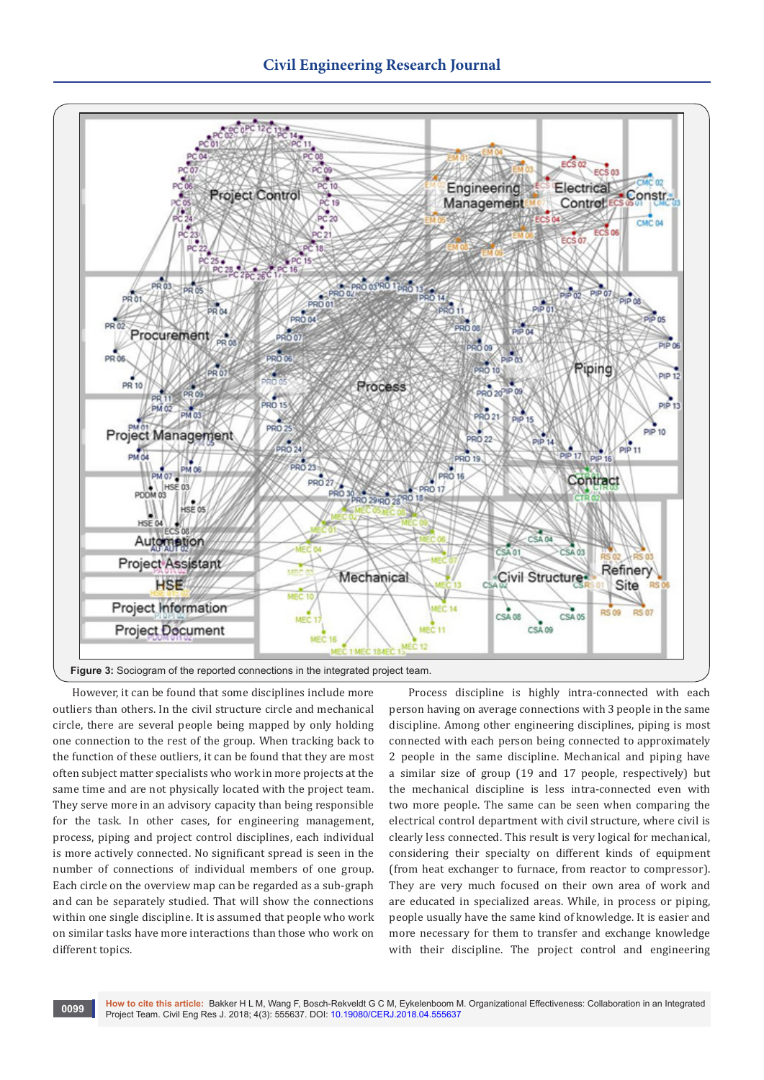

However, it can be found that some disciplines include more outliers than others. In the civil structure circle and mechanical circle, there are several people being mapped by only holding one connection to the rest of the group. When tracking back to the function of these outliers, it can be found that they are most often subject matter specialists who work in more projects at the same time and are not physically located with the project team. They serve more in an advisory capacity than being responsible for the task. In other cases, for engineering management, process, piping and project control disciplines, each individual is more actively connected. No significant spread is seen in the number of connections of individual members of one group. Each circle on the overview map can be regarded as a sub-graph and can be separately studied. That will show the connections within one single discipline. It is assumed that people who work on similar tasks have more interactions than those who work on different topics.

Process discipline is highly intra-connected with each person having on average connections with 3 people in the same discipline. Among other engineering disciplines, piping is most connected with each person being connected to approximately 2 people in the same discipline. Mechanical and piping have a similar size of group (19 and 17 people, respectively) but the mechanical discipline is less intra-connected even with two more people. The same can be seen when comparing the electrical control department with civil structure, where civil is clearly less connected. This result is very logical for mechanical, considering their specialty on different kinds of equipment (from heat exchanger to furnace, from reactor to compressor). They are very much focused on their own area of work and are educated in specialized areas. While, in process or piping, people usually have the same kind of knowledge. It is easier and more necessary for them to transfer and exchange knowledge with their discipline. The project control and engineering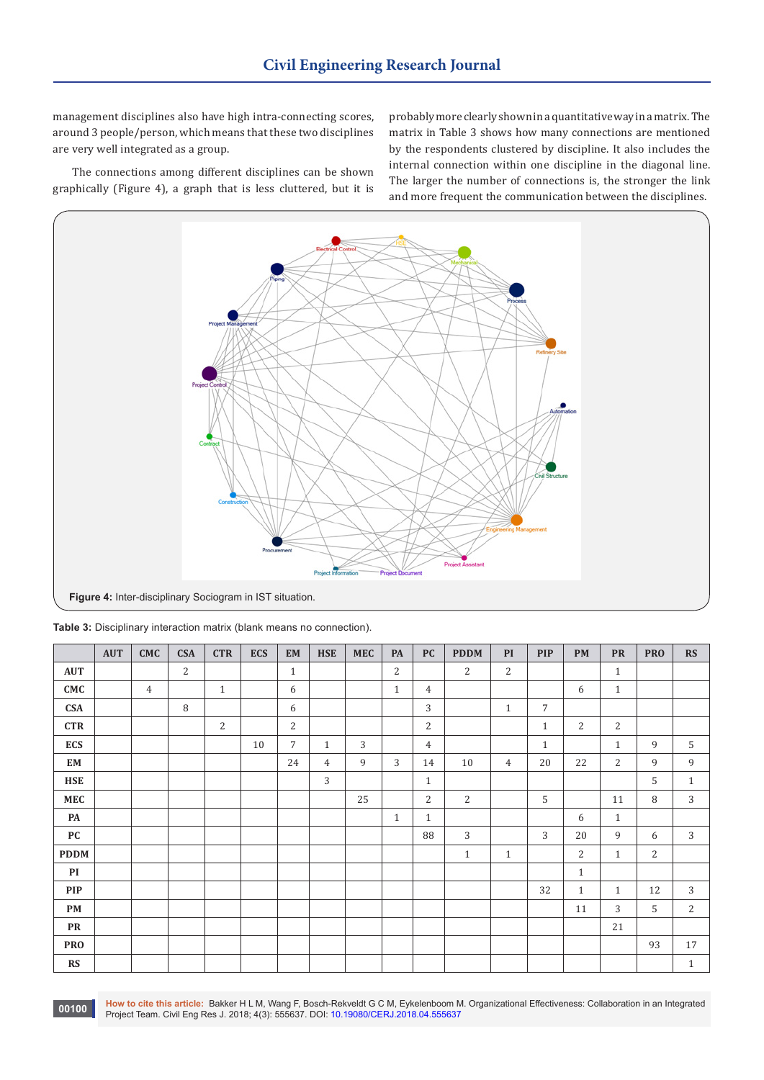management disciplines also have high intra-connecting scores, around 3 people/person, which means that these two disciplines are very well integrated as a group.

The connections among different disciplines can be shown graphically (Figure 4), a graph that is less cluttered, but it is probably more clearly shown in a quantitative way in a matrix. The matrix in Table 3 shows how many connections are mentioned by the respondents clustered by discipline. It also includes the internal connection within one discipline in the diagonal line. The larger the number of connections is, the stronger the link and more frequent the communication between the disciplines.



|                  | <b>AUT</b> | <b>CMC</b>     | <b>CSA</b> | <b>CTR</b>     | <b>ECS</b> | <b>EM</b>      | <b>HSE</b>   | <b>MEC</b> | PA             | <b>PC</b>      | <b>PDDM</b>  | PI             | <b>PIP</b>     | PM             | ${\bf PR}$     | <b>PRO</b> | RS             |
|------------------|------------|----------------|------------|----------------|------------|----------------|--------------|------------|----------------|----------------|--------------|----------------|----------------|----------------|----------------|------------|----------------|
| <b>AUT</b>       |            |                | 2          |                |            | $\mathbf{1}$   |              |            | $\overline{c}$ |                | 2            | 2              |                |                | $\mathbf{1}$   |            |                |
| CMC              |            | $\overline{4}$ |            | $\mathbf{1}$   |            | 6              |              |            | $\mathbf{1}$   | $\overline{4}$ |              |                |                | 6              | $\mathbf{1}$   |            |                |
| <b>CSA</b>       |            |                | 8          |                |            | 6              |              |            |                | 3              |              | $\mathbf{1}$   | $\overline{7}$ |                |                |            |                |
| <b>CTR</b>       |            |                |            | $\overline{2}$ |            | $\overline{c}$ |              |            |                | $\overline{2}$ |              |                | $\mathbf{1}$   | $\overline{2}$ | $\sqrt{2}$     |            |                |
| <b>ECS</b>       |            |                |            |                | 10         | $\overline{7}$ | $\mathbf{1}$ | 3          |                | $\overline{4}$ |              |                | $\mathbf{1}$   |                | $\mathbf{1}$   | 9          | 5              |
| EM               |            |                |            |                |            | 24             | 4            | 9          | 3              | 14             | 10           | $\overline{4}$ | 20             | 22             | $\overline{c}$ | 9          | 9              |
| <b>HSE</b>       |            |                |            |                |            |                | 3            |            |                | $\mathbf{1}$   |              |                |                |                |                | 5          | $\mathbf{1}$   |
| <b>MEC</b>       |            |                |            |                |            |                |              | 25         |                | $\overline{2}$ | 2            |                | 5              |                | 11             | 8          | 3              |
| PA               |            |                |            |                |            |                |              |            | $\mathbf{1}$   | $\mathbf{1}$   |              |                |                | 6              | $\mathbf{1}$   |            |                |
| ${\bf P}{\bf C}$ |            |                |            |                |            |                |              |            |                | 88             | 3            |                | 3              | 20             | 9              | 6          | $\sqrt{3}$     |
| <b>PDDM</b>      |            |                |            |                |            |                |              |            |                |                | $\mathbf{1}$ | $\mathbf{1}$   |                | 2              | $\mathbf{1}$   | $\sqrt{2}$ |                |
| PI               |            |                |            |                |            |                |              |            |                |                |              |                |                | $\,1\,$        |                |            |                |
| <b>PIP</b>       |            |                |            |                |            |                |              |            |                |                |              |                | 32             | $\mathbf{1}$   | $\mathbf{1}$   | 12         | $\sqrt{3}$     |
| PM               |            |                |            |                |            |                |              |            |                |                |              |                |                | 11             | 3              | 5          | $\overline{2}$ |
| <b>PR</b>        |            |                |            |                |            |                |              |            |                |                |              |                |                |                | 21             |            |                |
| <b>PRO</b>       |            |                |            |                |            |                |              |            |                |                |              |                |                |                |                | 93         | $17\,$         |
| RS               |            |                |            |                |            |                |              |            |                |                |              |                |                |                |                |            | $\mathbf{1}$   |

**How to cite this article:** Bakker H L M, Wang F, Bosch-Rekveldt G C M, Eykelenboom M. Organizational Effectiveness: Collaboration in an Integrated Protifice Team. Civil Eng Res J. 2018; 4(3): 555637. DOI: [10.19080/CERJ.2018.04.555637](http://dx.doi.org/10.19080/CERJ.2018.04.555637)<br>Project Team. Civil Eng Res J. 2018; 4(3): 555637. DOI: 10.19080/CERJ.2018.04.555637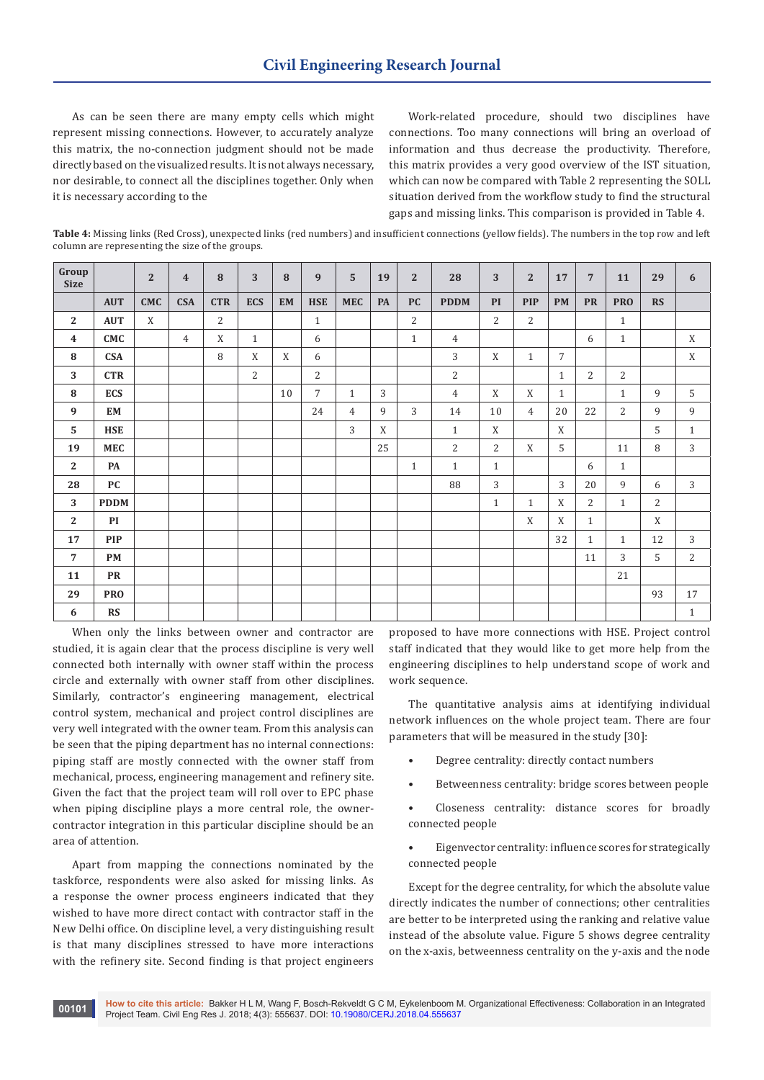As can be seen there are many empty cells which might represent missing connections. However, to accurately analyze this matrix, the no-connection judgment should not be made directly based on the visualized results. It is not always necessary, nor desirable, to connect all the disciplines together. Only when it is necessary according to the

Work-related procedure, should two disciplines have connections. Too many connections will bring an overload of information and thus decrease the productivity. Therefore, this matrix provides a very good overview of the IST situation, which can now be compared with Table 2 representing the SOLL situation derived from the workflow study to find the structural gaps and missing links. This comparison is provided in Table 4.

**Table 4:** Missing links (Red Cross), unexpected links (red numbers) and insufficient connections (yellow fields). The numbers in the top row and left column are representing the size of the groups.

| Group<br><b>Size</b> |             | $\overline{2}$ | $\overline{4}$ | 8          | 3            | 8  | 9              | 5              | 19 | $\overline{2}$ | 28             | 3            | $\mathbf{2}$   | 17             | $7\phantom{.0}$ | 11             | 29             | 6            |
|----------------------|-------------|----------------|----------------|------------|--------------|----|----------------|----------------|----|----------------|----------------|--------------|----------------|----------------|-----------------|----------------|----------------|--------------|
|                      | <b>AUT</b>  | <b>CMC</b>     | <b>CSA</b>     | <b>CTR</b> | <b>ECS</b>   | EM | <b>HSE</b>     | <b>MEC</b>     | PA | <b>PC</b>      | <b>PDDM</b>    | PI           | <b>PIP</b>     | <b>PM</b>      | <b>PR</b>       | <b>PRO</b>     | <b>RS</b>      |              |
| $\mathbf{2}$         | <b>AUT</b>  | X              |                | 2          |              |    | $\,1\,$        |                |    | 2              |                | 2            | $\overline{2}$ |                |                 | $\mathbf{1}$   |                |              |
| $\boldsymbol{4}$     | CMC         |                | $\overline{4}$ | X          | $\mathbf{1}$ |    | 6              |                |    | $\mathbf{1}$   | $\overline{4}$ |              |                |                | 6               | $\mathbf{1}$   |                | X            |
| ${\bf 8}$            | <b>CSA</b>  |                |                | 8          | X            | X  | 6              |                |    |                | 3              | X            | $\mathbf{1}$   | $\overline{7}$ |                 |                |                | $\mathbf X$  |
| $\overline{3}$       | <b>CTR</b>  |                |                |            | 2            |    | $\overline{2}$ |                |    |                | $\overline{2}$ |              |                | $\mathbf{1}$   | 2               | $\overline{2}$ |                |              |
| 8                    | <b>ECS</b>  |                |                |            |              | 10 | $\overline{7}$ | $\mathbf{1}$   | 3  |                | $\overline{4}$ | X            | X              | $\mathbf{1}$   |                 | $\mathbf{1}$   | 9              | 5            |
| 9                    | EM          |                |                |            |              |    | 24             | $\overline{4}$ | 9  | 3              | 14             | 10           | $\overline{4}$ | 20             | 22              | 2              | 9              | 9            |
| $5\phantom{.0}$      | <b>HSE</b>  |                |                |            |              |    |                | 3              | X  |                | $\mathbf{1}$   | X            |                | X              |                 |                | 5              | $\mathbf{1}$ |
| 19                   | <b>MEC</b>  |                |                |            |              |    |                |                | 25 |                | $\sqrt{2}$     | $\sqrt{2}$   | X              | 5              |                 | 11             | 8              | 3            |
| $\mathbf{2}$         | PA          |                |                |            |              |    |                |                |    | $\mathbf{1}$   | $\mathbf{1}$   | $1\,$        |                |                | 6               | $\mathbf{1}$   |                |              |
| 28                   | PC          |                |                |            |              |    |                |                |    |                | 88             | 3            |                | 3              | 20              | 9              | 6              | 3            |
| 3                    | <b>PDDM</b> |                |                |            |              |    |                |                |    |                |                | $\mathbf{1}$ | $\mathbf{1}$   | $\mathbf X$    | $\overline{2}$  | $\mathbf{1}$   | $\overline{2}$ |              |
| $\mathbf{2}$         | PI          |                |                |            |              |    |                |                |    |                |                |              | $\mathbf X$    | X              | $\mathbf{1}$    |                | X              |              |
| 17                   | <b>PIP</b>  |                |                |            |              |    |                |                |    |                |                |              |                | 32             | $\mathbf{1}$    | $\mathbf{1}$   | 12             | 3            |
| $\overline{7}$       | PM          |                |                |            |              |    |                |                |    |                |                |              |                |                | 11              | 3              | 5              | 2            |
| 11                   | <b>PR</b>   |                |                |            |              |    |                |                |    |                |                |              |                |                |                 | 21             |                |              |
| 29                   | <b>PRO</b>  |                |                |            |              |    |                |                |    |                |                |              |                |                |                 |                | 93             | 17           |
| 6                    | RS          |                |                |            |              |    |                |                |    |                |                |              |                |                |                 |                |                | $\mathbf{1}$ |

When only the links between owner and contractor are studied, it is again clear that the process discipline is very well connected both internally with owner staff within the process circle and externally with owner staff from other disciplines. Similarly, contractor's engineering management, electrical control system, mechanical and project control disciplines are very well integrated with the owner team. From this analysis can be seen that the piping department has no internal connections: piping staff are mostly connected with the owner staff from mechanical, process, engineering management and refinery site. Given the fact that the project team will roll over to EPC phase when piping discipline plays a more central role, the ownercontractor integration in this particular discipline should be an area of attention.

Apart from mapping the connections nominated by the taskforce, respondents were also asked for missing links. As a response the owner process engineers indicated that they wished to have more direct contact with contractor staff in the New Delhi office. On discipline level, a very distinguishing result is that many disciplines stressed to have more interactions with the refinery site. Second finding is that project engineers

proposed to have more connections with HSE. Project control staff indicated that they would like to get more help from the engineering disciplines to help understand scope of work and work sequence.

The quantitative analysis aims at identifying individual network influences on the whole project team. There are four parameters that will be measured in the study [30]:

- Degree centrality: directly contact numbers
- Betweenness centrality: bridge scores between people
- Closeness centrality: distance scores for broadly connected people
- Eigenvector centrality: influence scores for strategically connected people

Except for the degree centrality, for which the absolute value directly indicates the number of connections; other centralities are better to be interpreted using the ranking and relative value instead of the absolute value. Figure 5 shows degree centrality on the x-axis, betweenness centrality on the y-axis and the node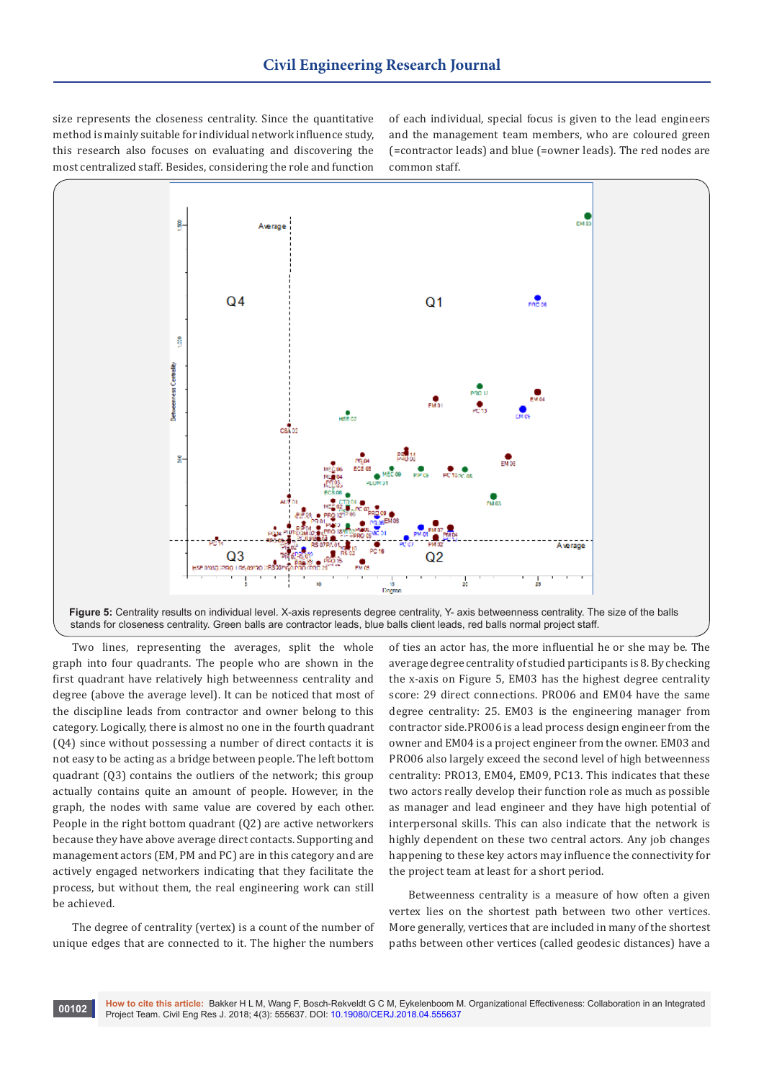size represents the closeness centrality. Since the quantitative method is mainly suitable for individual network influence study, this research also focuses on evaluating and discovering the most centralized staff. Besides, considering the role and function

of each individual, special focus is given to the lead engineers and the management team members, who are coloured green (=contractor leads) and blue (=owner leads). The red nodes are common staff.





Two lines, representing the averages, split the whole graph into four quadrants. The people who are shown in the first quadrant have relatively high betweenness centrality and degree (above the average level). It can be noticed that most of the discipline leads from contractor and owner belong to this category. Logically, there is almost no one in the fourth quadrant (Q4) since without possessing a number of direct contacts it is not easy to be acting as a bridge between people. The left bottom quadrant (Q3) contains the outliers of the network; this group actually contains quite an amount of people. However, in the graph, the nodes with same value are covered by each other. People in the right bottom quadrant (Q2) are active networkers because they have above average direct contacts. Supporting and management actors (EM, PM and PC) are in this category and are actively engaged networkers indicating that they facilitate the process, but without them, the real engineering work can still be achieved.

The degree of centrality (vertex) is a count of the number of unique edges that are connected to it. The higher the numbers

of ties an actor has, the more influential he or she may be. The average degree centrality of studied participants is 8. By checking the x-axis on Figure 5, EM03 has the highest degree centrality score: 29 direct connections. PRO06 and EM04 have the same degree centrality: 25. EM03 is the engineering manager from contractor side.PRO06 is a lead process design engineer from the owner and EM04 is a project engineer from the owner. EM03 and PRO06 also largely exceed the second level of high betweenness centrality: PRO13, EM04, EM09, PC13. This indicates that these two actors really develop their function role as much as possible as manager and lead engineer and they have high potential of interpersonal skills. This can also indicate that the network is highly dependent on these two central actors. Any job changes happening to these key actors may influence the connectivity for the project team at least for a short period.

Betweenness centrality is a measure of how often a given vertex lies on the shortest path between two other vertices. More generally, vertices that are included in many of the shortest paths between other vertices (called geodesic distances) have a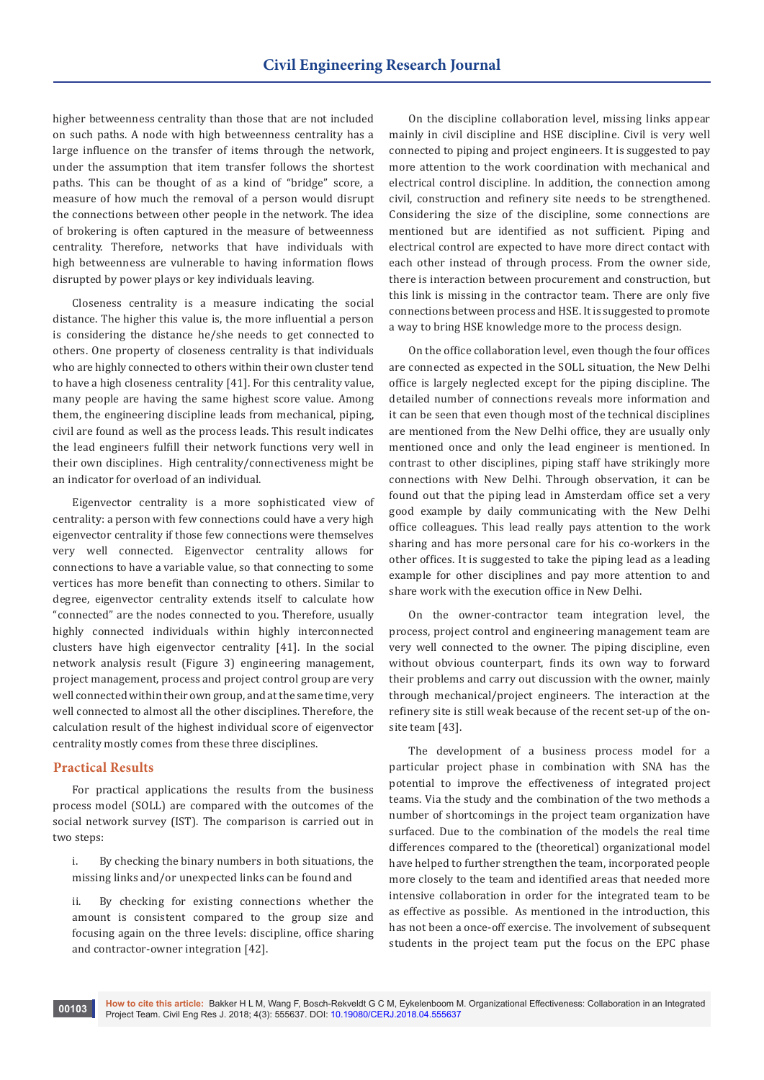higher betweenness centrality than those that are not included on such paths. A node with high betweenness centrality has a large influence on the transfer of items through the network, under the assumption that item transfer follows the shortest paths. This can be thought of as a kind of "bridge" score, a measure of how much the removal of a person would disrupt the connections between other people in the network. The idea of brokering is often captured in the measure of betweenness centrality. Therefore, networks that have individuals with high betweenness are vulnerable to having information flows disrupted by power plays or key individuals leaving.

Closeness centrality is a measure indicating the social distance. The higher this value is, the more influential a person is considering the distance he/she needs to get connected to others. One property of closeness centrality is that individuals who are highly connected to others within their own cluster tend to have a high closeness centrality [41]. For this centrality value, many people are having the same highest score value. Among them, the engineering discipline leads from mechanical, piping, civil are found as well as the process leads. This result indicates the lead engineers fulfill their network functions very well in their own disciplines. High centrality/connectiveness might be an indicator for overload of an individual.

Eigenvector centrality is a more sophisticated view of centrality: a person with few connections could have a very high eigenvector centrality if those few connections were themselves very well connected. Eigenvector centrality allows for connections to have a variable value, so that connecting to some vertices has more benefit than connecting to others. Similar to degree, eigenvector centrality extends itself to calculate how "connected" are the nodes connected to you. Therefore, usually highly connected individuals within highly interconnected clusters have high eigenvector centrality [41]. In the social network analysis result (Figure 3) engineering management, project management, process and project control group are very well connected within their own group, and at the same time, very well connected to almost all the other disciplines. Therefore, the calculation result of the highest individual score of eigenvector centrality mostly comes from these three disciplines.

## **Practical Results**

For practical applications the results from the business process model (SOLL) are compared with the outcomes of the social network survey (IST). The comparison is carried out in two steps:

i. By checking the binary numbers in both situations, the missing links and/or unexpected links can be found and

ii. By checking for existing connections whether the amount is consistent compared to the group size and focusing again on the three levels: discipline, office sharing and contractor-owner integration [42].

On the discipline collaboration level, missing links appear mainly in civil discipline and HSE discipline. Civil is very well connected to piping and project engineers. It is suggested to pay more attention to the work coordination with mechanical and electrical control discipline. In addition, the connection among civil, construction and refinery site needs to be strengthened. Considering the size of the discipline, some connections are mentioned but are identified as not sufficient. Piping and electrical control are expected to have more direct contact with each other instead of through process. From the owner side, there is interaction between procurement and construction, but this link is missing in the contractor team. There are only five connections between process and HSE. It is suggested to promote a way to bring HSE knowledge more to the process design.

On the office collaboration level, even though the four offices are connected as expected in the SOLL situation, the New Delhi office is largely neglected except for the piping discipline. The detailed number of connections reveals more information and it can be seen that even though most of the technical disciplines are mentioned from the New Delhi office, they are usually only mentioned once and only the lead engineer is mentioned. In contrast to other disciplines, piping staff have strikingly more connections with New Delhi. Through observation, it can be found out that the piping lead in Amsterdam office set a very good example by daily communicating with the New Delhi office colleagues. This lead really pays attention to the work sharing and has more personal care for his co-workers in the other offices. It is suggested to take the piping lead as a leading example for other disciplines and pay more attention to and share work with the execution office in New Delhi.

On the owner-contractor team integration level, the process, project control and engineering management team are very well connected to the owner. The piping discipline, even without obvious counterpart, finds its own way to forward their problems and carry out discussion with the owner, mainly through mechanical/project engineers. The interaction at the refinery site is still weak because of the recent set-up of the onsite team [43].

The development of a business process model for a particular project phase in combination with SNA has the potential to improve the effectiveness of integrated project teams. Via the study and the combination of the two methods a number of shortcomings in the project team organization have surfaced. Due to the combination of the models the real time differences compared to the (theoretical) organizational model have helped to further strengthen the team, incorporated people more closely to the team and identified areas that needed more intensive collaboration in order for the integrated team to be as effective as possible. As mentioned in the introduction, this has not been a once-off exercise. The involvement of subsequent students in the project team put the focus on the EPC phase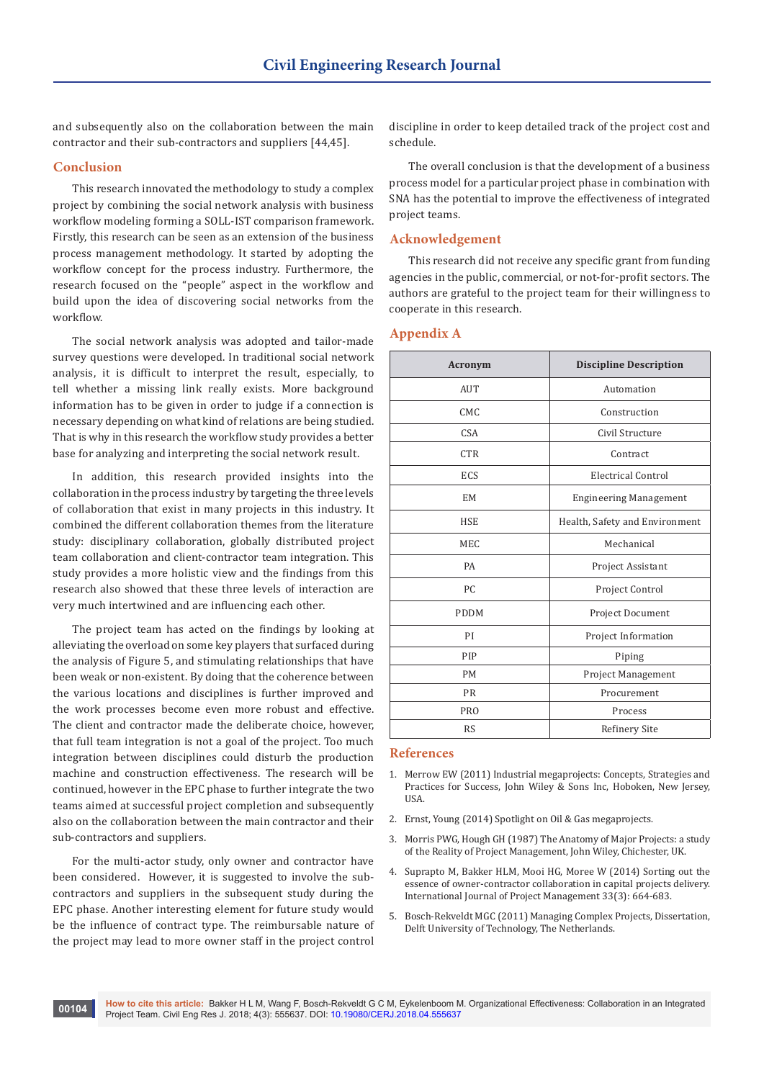and subsequently also on the collaboration between the main contractor and their sub-contractors and suppliers [44,45].

## **Conclusion**

This research innovated the methodology to study a complex project by combining the social network analysis with business workflow modeling forming a SOLL-IST comparison framework. Firstly, this research can be seen as an extension of the business process management methodology. It started by adopting the workflow concept for the process industry. Furthermore, the research focused on the "people" aspect in the workflow and build upon the idea of discovering social networks from the workflow.

The social network analysis was adopted and tailor-made survey questions were developed. In traditional social network analysis, it is difficult to interpret the result, especially, to tell whether a missing link really exists. More background information has to be given in order to judge if a connection is necessary depending on what kind of relations are being studied. That is why in this research the workflow study provides a better base for analyzing and interpreting the social network result.

In addition, this research provided insights into the collaboration in the process industry by targeting the three levels of collaboration that exist in many projects in this industry. It combined the different collaboration themes from the literature study: disciplinary collaboration, globally distributed project team collaboration and client-contractor team integration. This study provides a more holistic view and the findings from this research also showed that these three levels of interaction are very much intertwined and are influencing each other.

The project team has acted on the findings by looking at alleviating the overload on some key players that surfaced during the analysis of Figure 5, and stimulating relationships that have been weak or non-existent. By doing that the coherence between the various locations and disciplines is further improved and the work processes become even more robust and effective. The client and contractor made the deliberate choice, however, that full team integration is not a goal of the project. Too much integration between disciplines could disturb the production machine and construction effectiveness. The research will be continued, however in the EPC phase to further integrate the two teams aimed at successful project completion and subsequently also on the collaboration between the main contractor and their sub-contractors and suppliers.

For the multi-actor study, only owner and contractor have been considered. However, it is suggested to involve the subcontractors and suppliers in the subsequent study during the EPC phase. Another interesting element for future study would be the influence of contract type. The reimbursable nature of the project may lead to more owner staff in the project control

discipline in order to keep detailed track of the project cost and schedule.

The overall conclusion is that the development of a business process model for a particular project phase in combination with SNA has the potential to improve the effectiveness of integrated project teams.

## **Acknowledgement**

This research did not receive any specific grant from funding agencies in the public, commercial, or not-for-profit sectors. The authors are grateful to the project team for their willingness to cooperate in this research.

#### **Appendix A**

| Acronym     | <b>Discipline Description</b>  |
|-------------|--------------------------------|
| AUT         | Automation                     |
| CMC         | Construction                   |
| <b>CSA</b>  | Civil Structure                |
| <b>CTR</b>  | Contract                       |
| ECS         | Electrical Control             |
| EM          | <b>Engineering Management</b>  |
| <b>HSE</b>  | Health, Safety and Environment |
| <b>MEC</b>  | Mechanical                     |
| PA          | Project Assistant              |
| PC.         | Project Control                |
| <b>PDDM</b> | Project Document               |
| PI          | Project Information            |
| PIP         | Piping                         |
| <b>PM</b>   | <b>Project Management</b>      |
| <b>PR</b>   | Procurement                    |
| <b>PRO</b>  | Process                        |
| <b>RS</b>   | Refinery Site                  |

#### **References**

- 1. Merrow EW (2011) Industrial megaprojects: Concepts, Strategies and Practices for Success, John Wiley & Sons Inc, Hoboken, New Jersey, USA.
- 2. Ernst, Young (2014) Spotlight on Oil & Gas megaprojects.
- 3. [Morris PWG, Hough GH \(1987\) The Anatomy of Major Projects: a study](https://inis.iaea.org/search/search.aspx?orig_q=RN:21028774)  [of the Reality of Project Management, John Wiley, Chichester, UK.](https://inis.iaea.org/search/search.aspx?orig_q=RN:21028774)
- 4. [Suprapto M, Bakker HLM, Mooi HG, Moree W \(2014\) Sorting out the](https://www.sciencedirect.com/science/article/abs/pii/S026378631400091X)  [essence of owner-contractor collaboration in capital projects delivery.](https://www.sciencedirect.com/science/article/abs/pii/S026378631400091X)  [International Journal of Project Management 33\(3\): 664-683](https://www.sciencedirect.com/science/article/abs/pii/S026378631400091X).
- 5. Bosch-Rekveldt MGC (2011) Managing Complex Projects, Dissertation, Delft University of Technology, The Netherlands.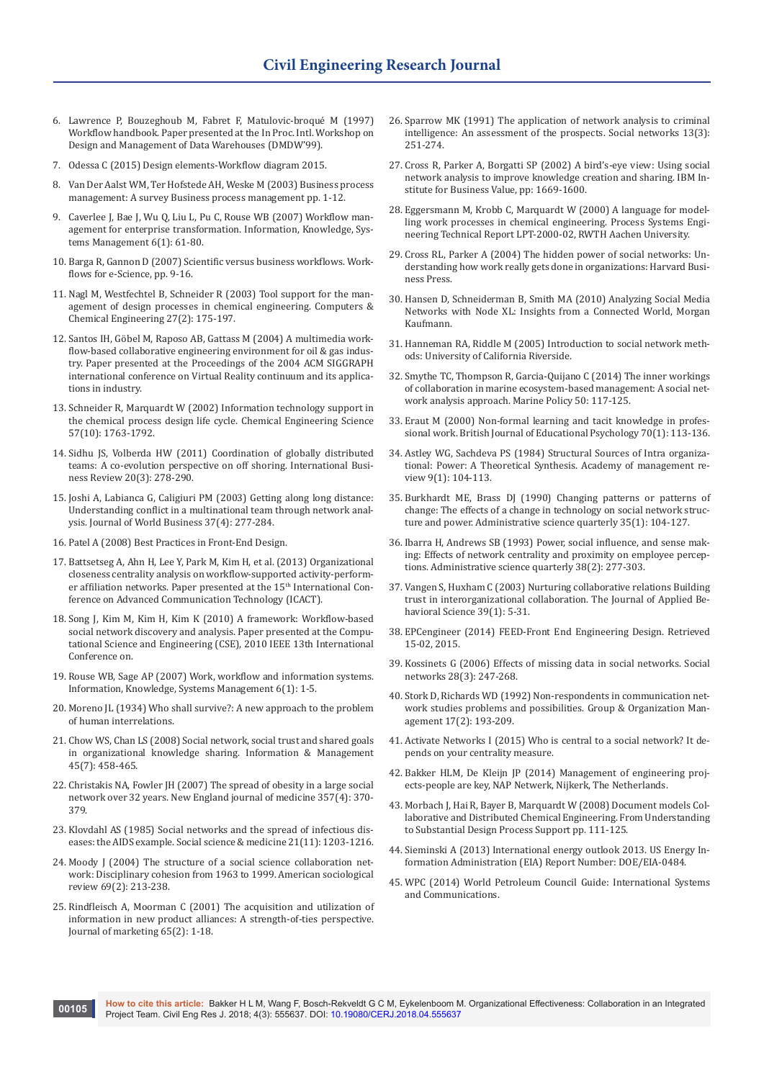- 6. [Lawrence P, Bouzeghoub M, Fabret F, Matulovic-broqué M \(1997\)](http://citeseerx.ist.psu.edu/viewdoc/summary?doi=10.1.1.42.6448)  [Workflow handbook. Paper presented at the In Proc. Intl. Workshop on](http://citeseerx.ist.psu.edu/viewdoc/summary?doi=10.1.1.42.6448)  [Design and Management of Data Warehouses \(DMDW'99\).](http://citeseerx.ist.psu.edu/viewdoc/summary?doi=10.1.1.42.6448)
- 7. [Odessa C \(2015\) Design elements-Workflow diagram 2015](http://www.conceptdraw.com/examples/warehouse-process-flow-diagram-example).
- 8. [Van Der Aalst WM, Ter Hofstede AH, Weske M \(2003\) Business process](https://link.springer.com/chapter/10.1007/3-540-44895-0_1)  [management: A survey Business process management pp. 1-12.](https://link.springer.com/chapter/10.1007/3-540-44895-0_1)
- 9. [Caverlee J, Bae J, Wu Q, Liu L, Pu C, Rouse WB \(2007\) Workflow man](https://pdfs.semanticscholar.org/bb02/57a3e61dd9f72c122e9356b674a8b4ee6260.pdf)[agement for enterprise transformation. Information, Knowledge, Sys](https://pdfs.semanticscholar.org/bb02/57a3e61dd9f72c122e9356b674a8b4ee6260.pdf)[tems Management 6\(1\): 61-80](https://pdfs.semanticscholar.org/bb02/57a3e61dd9f72c122e9356b674a8b4ee6260.pdf).
- 10. [Barga R, Gannon D \(2007\) Scientific versus business workflows. Work](https://link.springer.com/chapter/10.1007/978-1-84628-757-2_2)[flows for e-Science, pp. 9-16.](https://link.springer.com/chapter/10.1007/978-1-84628-757-2_2)
- 11. [Nagl M, Westfechtel B, Schneider R \(2003\) Tool support for the man](https://www.sciencedirect.com/science/article/pii/S0098135402001643)[agement of design processes in chemical engineering. Computers &](https://www.sciencedirect.com/science/article/pii/S0098135402001643)  [Chemical Engineering 27\(2\): 175-197](https://www.sciencedirect.com/science/article/pii/S0098135402001643).
- 12. [Santos IH, Göbel M, Raposo AB, Gattass M \(2004\) A multimedia work](https://webserver2.tecgraf.puc-rio.br/~abraposo/pubs/vrcai2004/vrcai04.pdf)[flow-based collaborative engineering environment for oil & gas indus](https://webserver2.tecgraf.puc-rio.br/~abraposo/pubs/vrcai2004/vrcai04.pdf)[try. Paper presented at the Proceedings of the 2004 ACM SIGGRAPH](https://webserver2.tecgraf.puc-rio.br/~abraposo/pubs/vrcai2004/vrcai04.pdf)  [international conference on Virtual Reality continuum and its applica](https://webserver2.tecgraf.puc-rio.br/~abraposo/pubs/vrcai2004/vrcai04.pdf)[tions in industry](https://webserver2.tecgraf.puc-rio.br/~abraposo/pubs/vrcai2004/vrcai04.pdf).
- 13. [Schneider R, Marquardt W \(2002\) Information technology support in](https://www.sciencedirect.com/science/article/pii/S0009250902000751)  [the chemical process design life cycle. Chemical Engineering Science](https://www.sciencedirect.com/science/article/pii/S0009250902000751)  [57\(10\): 1763-1792](https://www.sciencedirect.com/science/article/pii/S0009250902000751).
- 14. [Sidhu JS, Volberda HW \(2011\) Coordination of globally distributed](https://www.sciencedirect.com/science/article/abs/pii/S0969593111000072)  [teams: A co-evolution perspective on off shoring. International Busi](https://www.sciencedirect.com/science/article/abs/pii/S0969593111000072)[ness Review 20\(3\): 278-290.](https://www.sciencedirect.com/science/article/abs/pii/S0969593111000072)
- 15. [Joshi A, Labianca G, Caligiuri PM \(2003\) Getting along long distance:](https://www.sciencedirect.com/science/article/pii/S1090951602000949)  [Understanding conflict in a multinational team through network anal](https://www.sciencedirect.com/science/article/pii/S1090951602000949)[ysis. Journal of World Business 37\(4\): 277-284](https://www.sciencedirect.com/science/article/pii/S1090951602000949).
- 16. Patel A (2008) Best Practices in Front-End Design.
- 17. [Battsetseg A, Ahn H, Lee Y, Park M, Kim H, et al. \(2013\) Organizational](http://ieeexplore.ieee.org/document/6488160/)  [closeness centrality analysis on workflow-supported activity-perform](http://ieeexplore.ieee.org/document/6488160/)[er affiliation networks. Paper presented at the 15](http://ieeexplore.ieee.org/document/6488160/)<sup>th</sup> International Con[ference on Advanced Communication Technology \(ICACT\)](http://ieeexplore.ieee.org/document/6488160/).
- 18. [Song J, Kim M, Kim H, Kim K \(2010\) A framework: Workflow-based](http://ieeexplore.ieee.org/document/5692511/)  [social network discovery and analysis. Paper presented at the Compu](http://ieeexplore.ieee.org/document/5692511/)[tational Science and Engineering \(CSE\), 2010 IEEE 13th International](http://ieeexplore.ieee.org/document/5692511/)  [Conference on](http://ieeexplore.ieee.org/document/5692511/).
- 19. [Rouse WB, Sage AP \(2007\) Work, workflow and information systems.](https://content.iospress.com/articles/information-knowledge-systems-management/iks00101)  [Information, Knowledge, Systems Management 6\(1\): 1-5.](https://content.iospress.com/articles/information-knowledge-systems-management/iks00101)
- 20. [Moreno JL \(1934\) Who shall survive?: A new approach to the problem](https://archive.org/details/whoshallsurviven00jlmo)  [of human interrelations](https://archive.org/details/whoshallsurviven00jlmo).
- 21. [Chow WS, Chan LS \(2008\) Social network, social trust and shared goals](https://www.sciencedirect.com/science/article/abs/pii/S0378720608000888)  [in organizational knowledge sharing. Information & Management](https://www.sciencedirect.com/science/article/abs/pii/S0378720608000888)  [45\(7\): 458-465](https://www.sciencedirect.com/science/article/abs/pii/S0378720608000888).
- 22. Christakis NA, Fowler IH (2007) The spread of obesity in a large social [network over 32 years. New England journal of medicine 357\(4\): 370-](https://www.ncbi.nlm.nih.gov/pubmed/17652652) [379.](https://www.ncbi.nlm.nih.gov/pubmed/17652652)
- 23. [Klovdahl AS \(1985\) Social networks and the spread of infectious dis](https://www.sciencedirect.com/science/article/pii/0277953685902692)[eases: the AIDS example. Social science & medicine 21\(11\): 1203-1216.](https://www.sciencedirect.com/science/article/pii/0277953685902692)
- 24. [Moody J \(2004\) The structure of a social science collaboration net](http://www.soc.duke.edu/~jmoody77/asr_soccoauth.pdf)[work: Disciplinary cohesion from 1963 to 1999. American sociological](http://www.soc.duke.edu/~jmoody77/asr_soccoauth.pdf)  [review 69\(2\): 213-238](http://www.soc.duke.edu/~jmoody77/asr_soccoauth.pdf).
- 25. [Rindfleisch A, Moorman C \(2001\) The acquisition and utilization of](https://pdfs.semanticscholar.org/a63b/b03c6b1ac976c0b53dd545875255912b993c.pdf)  [information in new product alliances: A strength-of-ties perspective.](https://pdfs.semanticscholar.org/a63b/b03c6b1ac976c0b53dd545875255912b993c.pdf)  [Journal of marketing 65\(2\): 1-18.](https://pdfs.semanticscholar.org/a63b/b03c6b1ac976c0b53dd545875255912b993c.pdf)
- 26. [Sparrow MK \(1991\) The application of network analysis to criminal](https://www.sciencedirect.com/science/article/pii/037887339190008H)  [intelligence: An assessment of the prospects. Social networks 13\(3\):](https://www.sciencedirect.com/science/article/pii/037887339190008H)  [251-274.](https://www.sciencedirect.com/science/article/pii/037887339190008H)
- 27. [Cross R, Parker A, Borgatti SP \(2002\) A bird's-eye view: Using social](http://www.steveborgatti.com/papers/cross,%20parker%20and%20borgatti%20-%20A_birds_eye_view.pdf)  [network analysis to improve knowledge creation and sharing. IBM In](http://www.steveborgatti.com/papers/cross,%20parker%20and%20borgatti%20-%20A_birds_eye_view.pdf)[stitute for Business Value, pp: 1669-1600](http://www.steveborgatti.com/papers/cross,%20parker%20and%20borgatti%20-%20A_birds_eye_view.pdf).
- 28. Eggersmann M, Krobb C, Marquardt W (2000) A language for modelling work processes in chemical engineering. Process Systems Engineering Technical Report LPT-2000-02, RWTH Aachen University.
- 29. [Cross RL, Parker A \(2004\) The hidden power of social networks: Un](https://hbr.org/product/the-hidden-power-of-social-networks-understanding-how-work-really-gets-done-in-organizations/2705-HBK-ENG)[derstanding how work really gets done in organizations: Harvard Busi](https://hbr.org/product/the-hidden-power-of-social-networks-understanding-how-work-really-gets-done-in-organizations/2705-HBK-ENG)[ness Press](https://hbr.org/product/the-hidden-power-of-social-networks-understanding-how-work-really-gets-done-in-organizations/2705-HBK-ENG).
- 30. [Hansen D, Schneiderman B, Smith MA \(2010\) Analyzing Social Media](https://www.elsevier.com/books/analyzing-social-media-networks-with-nodexl/hansen/978-0-12-382229-1)  [Networks with Node XL: Insights from a Connected World, Morgan](https://www.elsevier.com/books/analyzing-social-media-networks-with-nodexl/hansen/978-0-12-382229-1)  [Kaufmann.](https://www.elsevier.com/books/analyzing-social-media-networks-with-nodexl/hansen/978-0-12-382229-1)
- 31. Hanneman RA, Riddle M (2005) Introduction to social network methods: University of California Riverside.
- 32. [Smythe TC, Thompson R, Garcia-Quijano C \(2014\) The inner workings](https://www.sciencedirect.com/science/article/pii/S0308597X14001328)  [of collaboration in marine ecosystem-based management: A social net](https://www.sciencedirect.com/science/article/pii/S0308597X14001328)[work analysis approach. Marine Policy 50: 117-125](https://www.sciencedirect.com/science/article/pii/S0308597X14001328).
- 33. [Eraut M \(2000\) Non-formal learning and tacit knowledge in profes](https://www.ncbi.nlm.nih.gov/pubmed/10765570)[sional work. British Journal of Educational Psychology 70\(1\): 113-136](https://www.ncbi.nlm.nih.gov/pubmed/10765570).
- 34. Astley WG, Sachdeva PS (1984) Structural Sources of Intra organizational: Power: A Theoretical Synthesis. Academy of management review 9(1): 104-113.
- 35. Burkhardt ME, Brass DJ (1990) Changing patterns or patterns of change: The effects of a change in technology on social network structure and power. Administrative science quarterly 35(1): 104-127.
- 36. Ibarra H, Andrews SB (1993) Power, social influence, and sense making: Effects of network centrality and proximity on employee perceptions. Administrative science quarterly 38(2): 277-303.
- 37. [Vangen S, Huxham C \(2003\) Nurturing collaborative relations Building](http://journals.sagepub.com/doi/abs/10.1177/0021886303039001001)  [trust in interorganizational collaboration. The Journal of Applied Be](http://journals.sagepub.com/doi/abs/10.1177/0021886303039001001)[havioral Science 39\(1\): 5-31.](http://journals.sagepub.com/doi/abs/10.1177/0021886303039001001)
- 38. EPCengineer (2014) FEED-Front End Engineering Design. Retrieved 15-02, 2015.
- 39. [Kossinets G \(2006\) Effects of missing data in social networks. Social](https://www.sciencedirect.com/science/article/pii/S0378873305000511)  [networks 28\(3\): 247-268](https://www.sciencedirect.com/science/article/pii/S0378873305000511).
- 40. [Stork D, Richards WD \(1992\) Non-respondents in communication net](http://www.stat.cmu.edu/~brian/780/bibliography/11%20Imputation/Missing%20Data/Stork,%20Richards%20-%201992%20-%20Nonrespondents%20in%20Communiation%20Network%20Studies.pdf)[work studies problems and possibilities. Group & Organization Man](http://www.stat.cmu.edu/~brian/780/bibliography/11%20Imputation/Missing%20Data/Stork,%20Richards%20-%201992%20-%20Nonrespondents%20in%20Communiation%20Network%20Studies.pdf)[agement 17\(2\): 193-209](http://www.stat.cmu.edu/~brian/780/bibliography/11%20Imputation/Missing%20Data/Stork,%20Richards%20-%201992%20-%20Nonrespondents%20in%20Communiation%20Network%20Studies.pdf).
- 41. Activate Networks I (2015) Who is central to a social network? It depends on your centrality measure.
- 42. Bakker HLM, De Kleijn JP (2014) Management of engineering projects-people are key, NAP Netwerk, Nijkerk, The Netherlands.
- 43. [Morbach J, Hai R, Bayer B, Marquardt W \(2008\) Document models Col](https://link.springer.com/chapter/10.1007/978-3-540-70552-9_6)[laborative and Distributed Chemical Engineering. From Understanding](https://link.springer.com/chapter/10.1007/978-3-540-70552-9_6)  [to Substantial Design Process Support pp. 111-125](https://link.springer.com/chapter/10.1007/978-3-540-70552-9_6).
- 44. [Sieminski A \(2013\) International energy outlook 2013. US Energy In](https://www.eia.gov/outlooks/ieo/pdf/0484(2013).pdf)[formation Administration \(EIA\) Report Number: DOE/EIA-0484.](https://www.eia.gov/outlooks/ieo/pdf/0484(2013).pdf)
- 45. WPC (2014) World Petroleum Council Guide: International Systems and Communications.